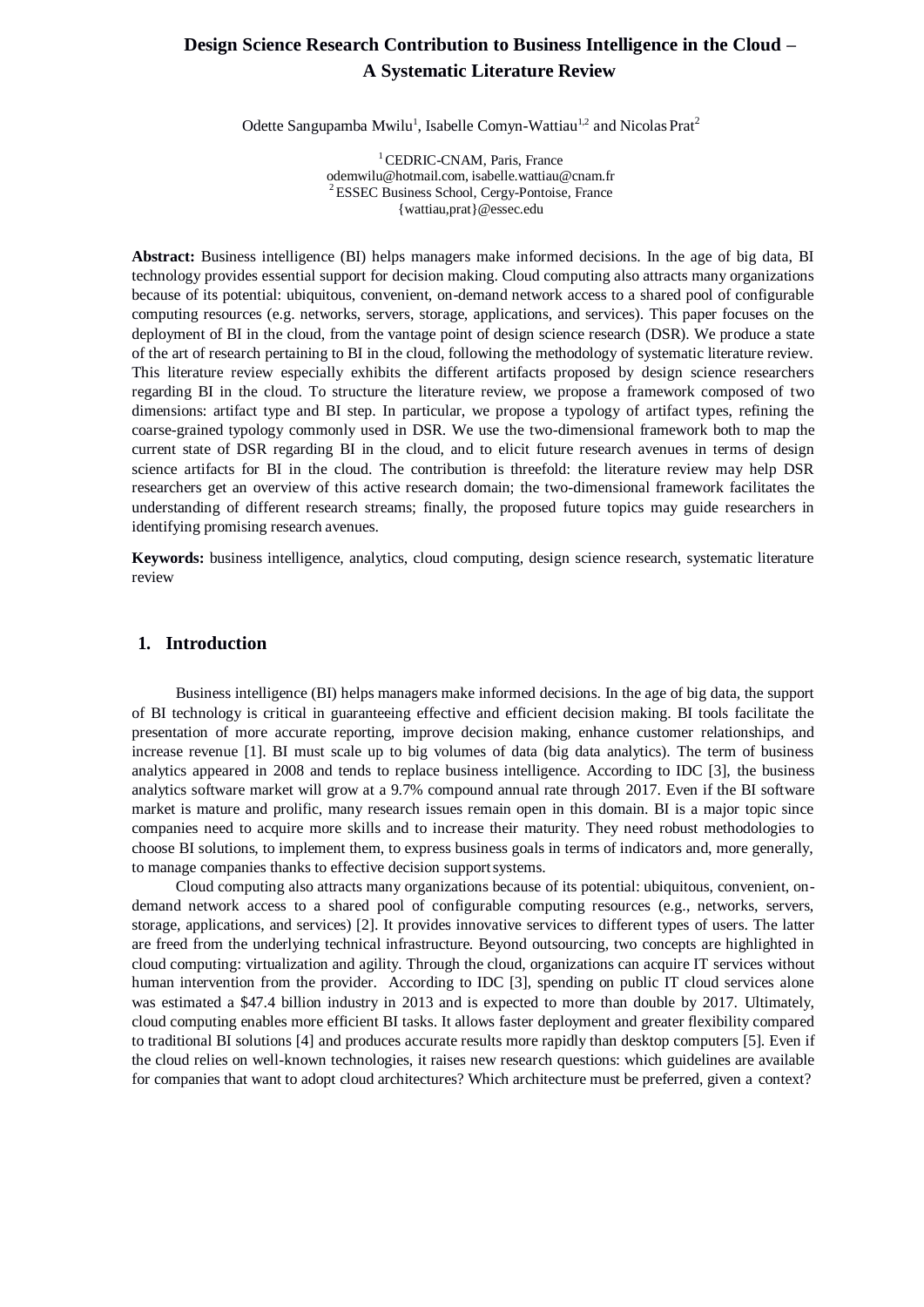# **Design Science Research Contribution to Business Intelligence in the Cloud – A Systematic Literature Review**

Odette Sangupamba Mwilu<sup>1</sup>, Isabelle Comyn-Wattiau<sup>1,2</sup> and Nicolas Prat<sup>2</sup>

<sup>1</sup> CEDRIC-CNAM, Paris, France [odemwilu@hotmail.com,](mailto:odemwilu@hotmail.com) [isabelle.wattiau@cnam.fr](mailto:isabelle.wattiau@cnam.fr) <sup>2</sup>ESSEC Business School, Cergy-Pontoise, France [{wattiau,prat}@essec.edu](mailto:prat%7d@essec.edu)

**Abstract:** Business intelligence (BI) helps managers make informed decisions. In the age of big data, BI technology provides essential support for decision making. Cloud computing also attracts many organizations because of its potential: ubiquitous, convenient, on-demand network access to a shared pool of configurable computing resources (e.g. networks, servers, storage, applications, and services). This paper focuses on the deployment of BI in the cloud, from the vantage point of design science research (DSR). We produce a state of the art of research pertaining to BI in the cloud, following the methodology of systematic literature review. This literature review especially exhibits the different artifacts proposed by design science researchers regarding BI in the cloud. To structure the literature review, we propose a framework composed of two dimensions: artifact type and BI step. In particular, we propose a typology of artifact types, refining the coarse-grained typology commonly used in DSR. We use the two-dimensional framework both to map the current state of DSR regarding BI in the cloud, and to elicit future research avenues in terms of design science artifacts for BI in the cloud. The contribution is threefold: the literature review may help DSR researchers get an overview of this active research domain; the two-dimensional framework facilitates the understanding of different research streams; finally, the proposed future topics may guide researchers in identifying promising research avenues.

**Keywords:** business intelligence, analytics, cloud computing, design science research, systematic literature review

### **1. Introduction**

Business intelligence (BI) helps managers make informed decisions. In the age of big data, the support of BI technology is critical in guaranteeing effective and efficient decision making. BI tools facilitate the presentation of more accurate reporting, improve decision making, enhance customer relationships, and increase revenue [1]. BI must scale up to big volumes of data (big data analytics). The term of business analytics appeared in 2008 and tends to replace business intelligence. According to IDC [3], the business analytics software market will grow at a 9.7% compound annual rate through 2017. Even if the BI software market is mature and prolific, many research issues remain open in this domain. BI is a major topic since companies need to acquire more skills and to increase their maturity. They need robust methodologies to choose BI solutions, to implement them, to express business goals in terms of indicators and, more generally, to manage companies thanks to effective decision supportsystems.

Cloud computing also attracts many organizations because of its potential: ubiquitous, convenient, ondemand network access to a shared pool of configurable computing resources (e.g., networks, servers, storage, applications, and services) [2]. It provides innovative services to different types of users. The latter are freed from the underlying technical infrastructure. Beyond outsourcing, two concepts are highlighted in cloud computing: virtualization and agility. Through the cloud, organizations can acquire IT services without human intervention from the provider. According to IDC [3], spending on public IT cloud services alone was estimated a \$47.4 billion industry in 2013 and is expected to more than double by 2017. Ultimately, cloud computing enables more efficient BI tasks. It allows faster deployment and greater flexibility compared to traditional BI solutions [4] and produces accurate results more rapidly than desktop computers [5]. Even if the cloud relies on well-known technologies, it raises new research questions: which guidelines are available for companies that want to adopt cloud architectures? Which architecture must be preferred, given a context?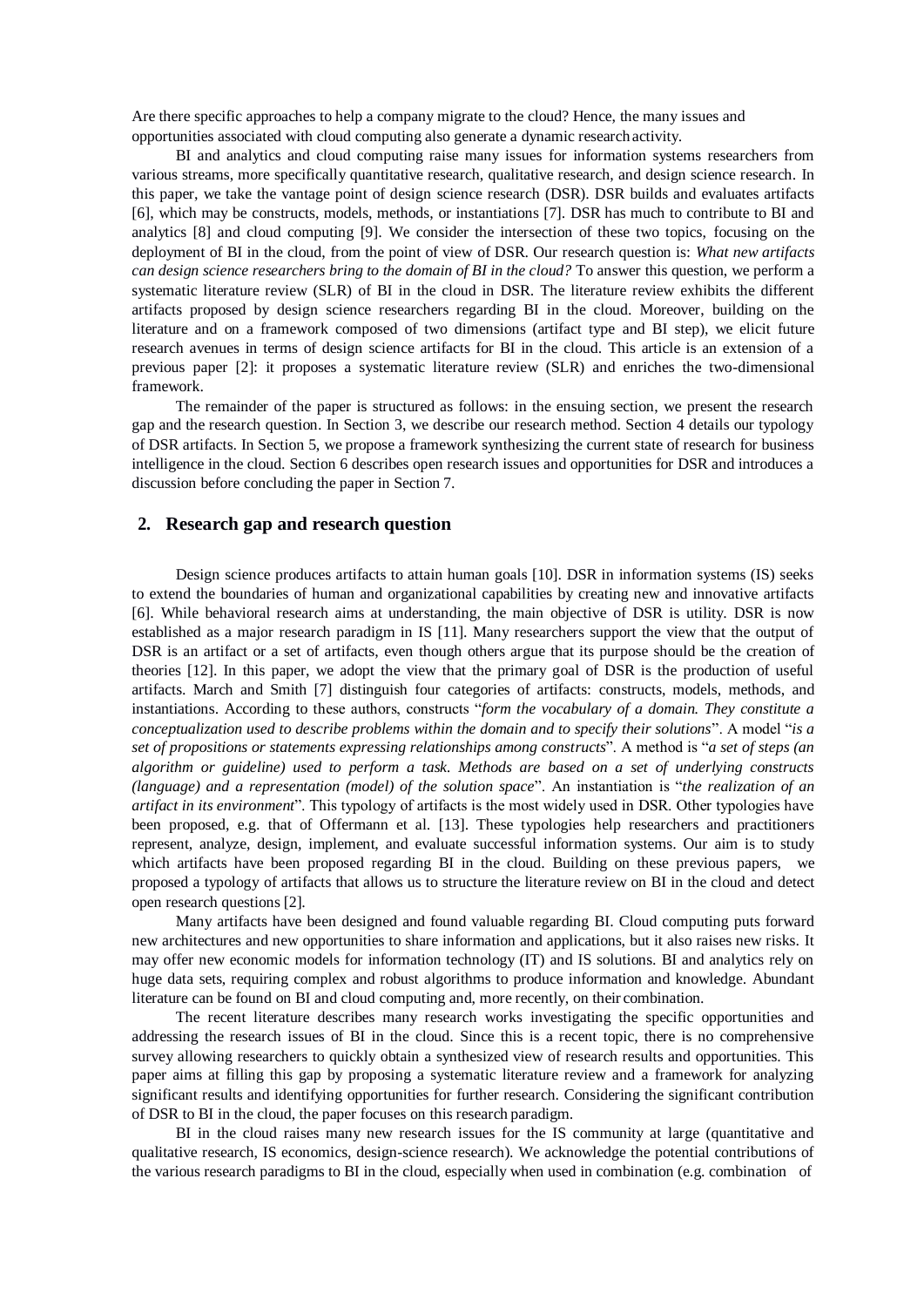Are there specific approaches to help a company migrate to the cloud? Hence, the many issues and opportunities associated with cloud computing also generate a dynamic research activity.

BI and analytics and cloud computing raise many issues for information systems researchers from various streams, more specifically quantitative research, qualitative research, and design science research. In this paper, we take the vantage point of design science research (DSR). DSR builds and evaluates artifacts [6], which may be constructs, models, methods, or instantiations [7]. DSR has much to contribute to BI and analytics [8] and cloud computing [9]. We consider the intersection of these two topics, focusing on the deployment of BI in the cloud, from the point of view of DSR. Our research question is: *What new artifacts can design science researchers bring to the domain of BI in the cloud?* To answer this question, we perform a systematic literature review (SLR) of BI in the cloud in DSR. The literature review exhibits the different artifacts proposed by design science researchers regarding BI in the cloud. Moreover, building on the literature and on a framework composed of two dimensions (artifact type and BI step), we elicit future research avenues in terms of design science artifacts for BI in the cloud. This article is an extension of a previous paper [2]: it proposes a systematic literature review (SLR) and enriches the two-dimensional framework.

The remainder of the paper is structured as follows: in the ensuing section, we present the research gap and the research question. In Section 3, we describe our research method. Section 4 details our typology of DSR artifacts. In Section 5, we propose a framework synthesizing the current state of research for business intelligence in the cloud. Section 6 describes open research issues and opportunities for DSR and introduces a discussion before concluding the paper in Section 7.

## **2. Research gap and research question**

Design science produces artifacts to attain human goals [10]. DSR in information systems (IS) seeks to extend the boundaries of human and organizational capabilities by creating new and innovative artifacts [6]. While behavioral research aims at understanding, the main objective of DSR is utility. DSR is now established as a major research paradigm in IS [11]. Many researchers support the view that the output of DSR is an artifact or a set of artifacts, even though others argue that its purpose should be the creation of theories [12]. In this paper, we adopt the view that the primary goal of DSR is the production of useful artifacts. March and Smith [7] distinguish four categories of artifacts: constructs, models, methods, and instantiations. According to these authors, constructs "*form the vocabulary of a domain. They constitute a conceptualization used to describe problems within the domain and to specify their solutions*". A model "*is a set of propositions or statements expressing relationships among constructs*". A method is "*a set of steps (an algorithm or guideline) used to perform a task. Methods are based on a set of underlying constructs (language) and a representation (model) of the solution space*". An instantiation is "*the realization of an artifact in its environment*". This typology of artifacts is the most widely used in DSR. Other typologies have been proposed, e.g. that of Offermann et al. [13]. These typologies help researchers and practitioners represent, analyze, design, implement, and evaluate successful information systems. Our aim is to study which artifacts have been proposed regarding BI in the cloud. Building on these previous papers, we proposed a typology of artifacts that allows us to structure the literature review on BI in the cloud and detect open research questions [2].

Many artifacts have been designed and found valuable regarding BI. Cloud computing puts forward new architectures and new opportunities to share information and applications, but it also raises new risks. It may offer new economic models for information technology (IT) and IS solutions. BI and analytics rely on huge data sets, requiring complex and robust algorithms to produce information and knowledge. Abundant literature can be found on BI and cloud computing and, more recently, on their combination.

The recent literature describes many research works investigating the specific opportunities and addressing the research issues of BI in the cloud. Since this is a recent topic, there is no comprehensive survey allowing researchers to quickly obtain a synthesized view of research results and opportunities. This paper aims at filling this gap by proposing a systematic literature review and a framework for analyzing significant results and identifying opportunities for further research. Considering the significant contribution of DSR to BI in the cloud, the paper focuses on this research paradigm.

BI in the cloud raises many new research issues for the IS community at large (quantitative and qualitative research, IS economics, design-science research). We acknowledge the potential contributions of the various research paradigms to BI in the cloud, especially when used in combination (e.g. combination of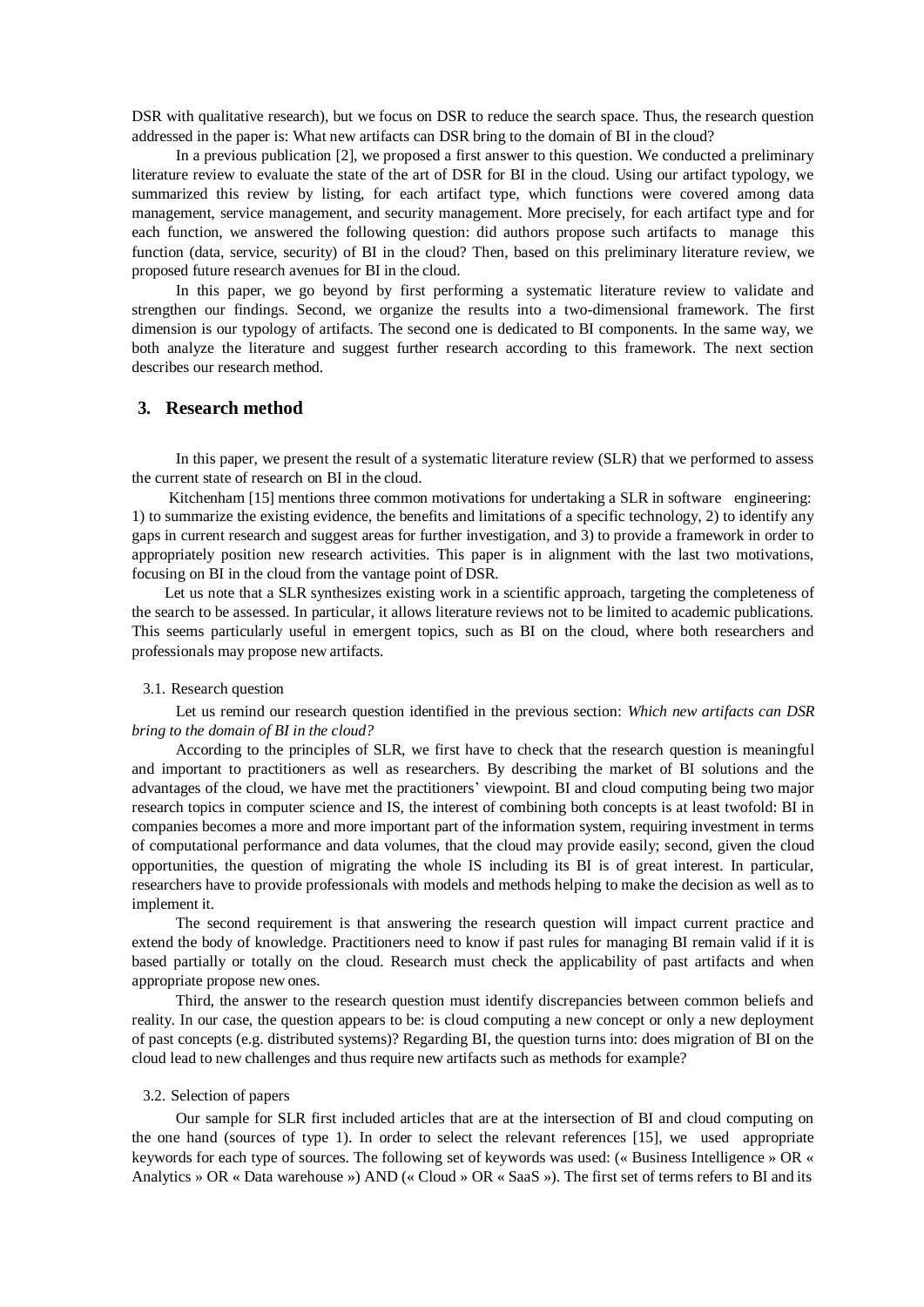DSR with qualitative research), but we focus on DSR to reduce the search space. Thus, the research question addressed in the paper is: What new artifacts can DSR bring to the domain of BI in the cloud?

In a previous publication [2], we proposed a first answer to this question. We conducted a preliminary literature review to evaluate the state of the art of DSR for BI in the cloud. Using our artifact typology, we summarized this review by listing, for each artifact type, which functions were covered among data management, service management, and security management. More precisely, for each artifact type and for each function, we answered the following question: did authors propose such artifacts to manage this function (data, service, security) of BI in the cloud? Then, based on this preliminary literature review, we proposed future research avenues for BI in the cloud.

In this paper, we go beyond by first performing a systematic literature review to validate and strengthen our findings. Second, we organize the results into a two-dimensional framework. The first dimension is our typology of artifacts. The second one is dedicated to BI components. In the same way, we both analyze the literature and suggest further research according to this framework. The next section describes our research method.

## **3. Research method**

In this paper, we present the result of a systematic literature review (SLR) that we performed to assess the current state of research on BI in the cloud.

Kitchenham [15] mentions three common motivations for undertaking a SLR in software engineering: 1) to summarize the existing evidence, the benefits and limitations of a specific technology, 2) to identify any gaps in current research and suggest areas for further investigation, and 3) to provide a framework in order to appropriately position new research activities. This paper is in alignment with the last two motivations, focusing on BI in the cloud from the vantage point of DSR.

Let us note that a SLR synthesizes existing work in a scientific approach, targeting the completeness of the search to be assessed. In particular, it allows literature reviews not to be limited to academic publications. This seems particularly useful in emergent topics, such as BI on the cloud, where both researchers and professionals may propose new artifacts.

### 3.1. Research question

Let us remind our research question identified in the previous section: *Which new artifacts can DSR bring to the domain of BI in the cloud?*

According to the principles of SLR, we first have to check that the research question is meaningful and important to practitioners as well as researchers. By describing the market of BI solutions and the advantages of the cloud, we have met the practitioners' viewpoint. BI and cloud computing being two major research topics in computer science and IS, the interest of combining both concepts is at least twofold: BI in companies becomes a more and more important part of the information system, requiring investment in terms of computational performance and data volumes, that the cloud may provide easily; second, given the cloud opportunities, the question of migrating the whole IS including its BI is of great interest. In particular, researchers have to provide professionals with models and methods helping to make the decision as well as to implement it.

The second requirement is that answering the research question will impact current practice and extend the body of knowledge. Practitioners need to know if past rules for managing BI remain valid if it is based partially or totally on the cloud. Research must check the applicability of past artifacts and when appropriate propose new ones.

Third, the answer to the research question must identify discrepancies between common beliefs and reality. In our case, the question appears to be: is cloud computing a new concept or only a new deployment of past concepts (e.g. distributed systems)? Regarding BI, the question turns into: does migration of BI on the cloud lead to new challenges and thus require new artifacts such as methods for example?

### 3.2. Selection of papers

Our sample for SLR first included articles that are at the intersection of BI and cloud computing on the one hand (sources of type 1). In order to select the relevant references [15], we used appropriate keywords for each type of sources. The following set of keywords was used: (« Business Intelligence » OR « Analytics » OR « Data warehouse ») AND (« Cloud » OR « SaaS »). The first set of terms refers to BI and its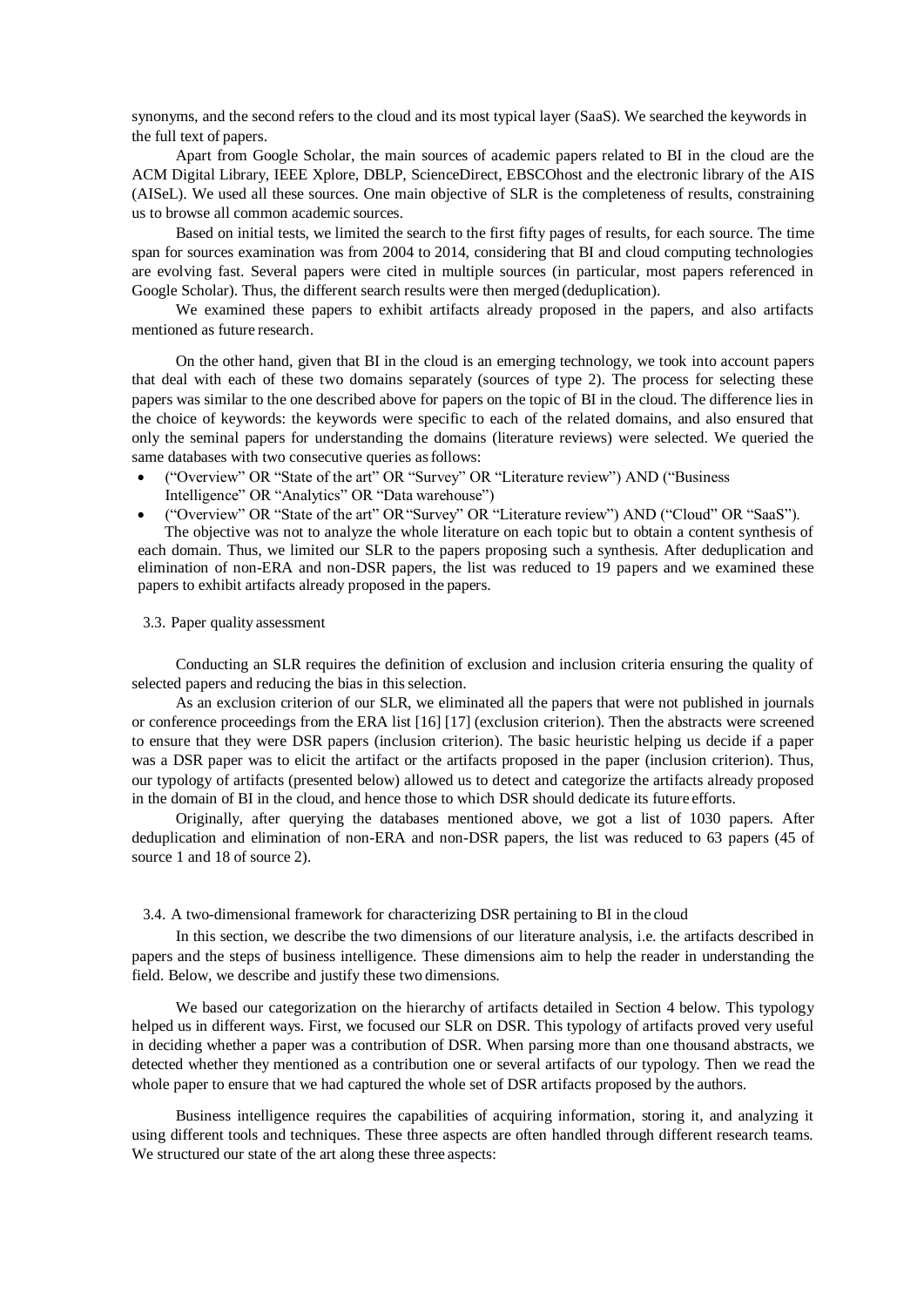synonyms, and the second refers to the cloud and its most typical layer (SaaS). We searched the keywords in the full text of papers.

Apart from Google Scholar, the main sources of academic papers related to BI in the cloud are the ACM Digital Library, IEEE Xplore, DBLP, ScienceDirect, EBSCOhost and the electronic library of the AIS (AISeL). We used all these sources. One main objective of SLR is the completeness of results, constraining us to browse all common academic sources.

Based on initial tests, we limited the search to the first fifty pages of results, for each source. The time span for sources examination was from 2004 to 2014, considering that BI and cloud computing technologies are evolving fast. Several papers were cited in multiple sources (in particular, most papers referenced in Google Scholar). Thus, the different search results were then merged (deduplication).

We examined these papers to exhibit artifacts already proposed in the papers, and also artifacts mentioned as future research.

On the other hand, given that BI in the cloud is an emerging technology, we took into account papers that deal with each of these two domains separately (sources of type 2). The process for selecting these papers was similar to the one described above for papers on the topic of BI in the cloud. The difference lies in the choice of keywords: the keywords were specific to each of the related domains, and also ensured that only the seminal papers for understanding the domains (literature reviews) were selected. We queried the same databases with two consecutive queries as follows:

 ("Overview" OR "State of the art" OR "Survey" OR "Literature review") AND ("Business Intelligence" OR "Analytics" OR "Data warehouse")

 ("Overview" OR "State of the art" OR"Survey" OR "Literature review") AND ("Cloud" OR "SaaS"). The objective was not to analyze the whole literature on each topic but to obtain a content synthesis of each domain. Thus, we limited our SLR to the papers proposing such a synthesis. After deduplication and elimination of non-ERA and non-DSR papers, the list was reduced to 19 papers and we examined these

3.3. Paper quality assessment

papers to exhibit artifacts already proposed in the papers.

Conducting an SLR requires the definition of exclusion and inclusion criteria ensuring the quality of selected papers and reducing the bias in this selection.

As an exclusion criterion of our SLR, we eliminated all the papers that were not published in journals or conference proceedings from the ERA list [16] [17] (exclusion criterion). Then the abstracts were screened to ensure that they were DSR papers (inclusion criterion). The basic heuristic helping us decide if a paper was a DSR paper was to elicit the artifact or the artifacts proposed in the paper (inclusion criterion). Thus, our typology of artifacts (presented below) allowed us to detect and categorize the artifacts already proposed in the domain of BI in the cloud, and hence those to which DSR should dedicate its future efforts.

Originally, after querying the databases mentioned above, we got a list of 1030 papers. After deduplication and elimination of non-ERA and non-DSR papers, the list was reduced to 63 papers (45 of source 1 and 18 of source 2).

#### 3.4. A two-dimensional framework for characterizing DSR pertaining to BI in the cloud

In this section, we describe the two dimensions of our literature analysis, i.e. the artifacts described in papers and the steps of business intelligence. These dimensions aim to help the reader in understanding the field. Below, we describe and justify these two dimensions.

We based our categorization on the hierarchy of artifacts detailed in Section 4 below. This typology helped us in different ways. First, we focused our SLR on DSR. This typology of artifacts proved very useful in deciding whether a paper was a contribution of DSR. When parsing more than one thousand abstracts, we detected whether they mentioned as a contribution one or several artifacts of our typology. Then we read the whole paper to ensure that we had captured the whole set of DSR artifacts proposed by the authors.

Business intelligence requires the capabilities of acquiring information, storing it, and analyzing it using different tools and techniques. These three aspects are often handled through different research teams. We structured our state of the art along these three aspects: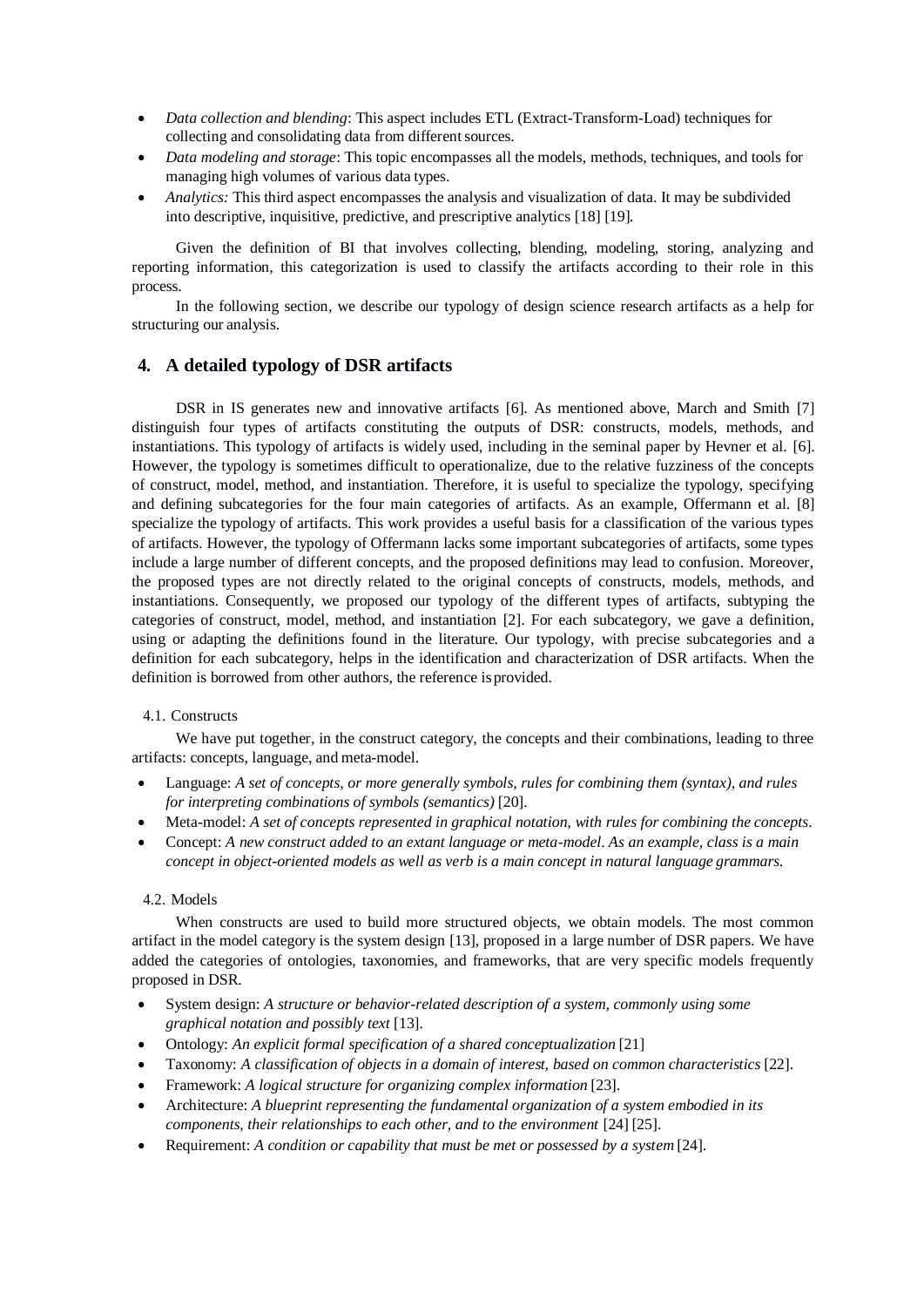- *Data collection and blending*: This aspect includes ETL (Extract-Transform-Load) techniques for collecting and consolidating data from different sources.
- *Data modeling and storage*: This topic encompasses all the models, methods, techniques, and tools for managing high volumes of various data types.
- *Analytics:* This third aspect encompasses the analysis and visualization of data. It may be subdivided into descriptive, inquisitive, predictive, and prescriptive analytics [18] [19]*.*

Given the definition of BI that involves collecting, blending, modeling, storing, analyzing and reporting information, this categorization is used to classify the artifacts according to their role in this process.

In the following section, we describe our typology of design science research artifacts as a help for structuring our analysis.

## **4. A detailed typology of DSR artifacts**

DSR in IS generates new and innovative artifacts [6]. As mentioned above, March and Smith [7] distinguish four types of artifacts constituting the outputs of DSR: constructs, models, methods, and instantiations. This typology of artifacts is widely used, including in the seminal paper by Hevner et al. [6]. However, the typology is sometimes difficult to operationalize, due to the relative fuzziness of the concepts of construct, model, method, and instantiation. Therefore, it is useful to specialize the typology, specifying and defining subcategories for the four main categories of artifacts. As an example, Offermann et al. [8] specialize the typology of artifacts. This work provides a useful basis for a classification of the various types of artifacts. However, the typology of Offermann lacks some important subcategories of artifacts, some types include a large number of different concepts, and the proposed definitions may lead to confusion. Moreover, the proposed types are not directly related to the original concepts of constructs, models, methods, and instantiations. Consequently, we proposed our typology of the different types of artifacts, subtyping the categories of construct, model, method, and instantiation [2]. For each subcategory, we gave a definition, using or adapting the definitions found in the literature. Our typology, with precise subcategories and a definition for each subcategory, helps in the identification and characterization of DSR artifacts. When the definition is borrowed from other authors, the reference is provided.

## 4.1. Constructs

We have put together, in the construct category, the concepts and their combinations, leading to three artifacts: concepts, language, and meta-model.

- Language: *A set of concepts, or more generally symbols, rules for combining them (syntax), and rules for interpreting combinations of symbols (semantics)* [20].
- Meta-model: *A set of concepts represented in graphical notation, with rules for combining the concepts.*
- Concept: *A new construct added to an extant language or meta-model*. *As an example, class is a main concept in object-oriented models as well as verb is a main concept in natural language grammars*.

## 4.2. Models

When constructs are used to build more structured objects, we obtain models. The most common artifact in the model category is the system design [13], proposed in a large number of DSR papers. We have added the categories of ontologies, taxonomies, and frameworks, that are very specific models frequently proposed in DSR.

- System design: *A structure or behavior-related description of a system, commonly using some graphical notation and possibly text* [13].
- Ontology: *An explicit formal specification of a shared conceptualization* [21]
- Taxonomy: *A classification of objects in a domain of interest, based on common characteristics* [22].
- Framework: *A logical structure for organizing complex information* [23].
- Architecture: *A blueprint representing the fundamental organization of a system embodied in its components, their relationships to each other, and to the environment* [24] [25].
- Requirement: *A condition or capability that must be met or possessed by a system* [24].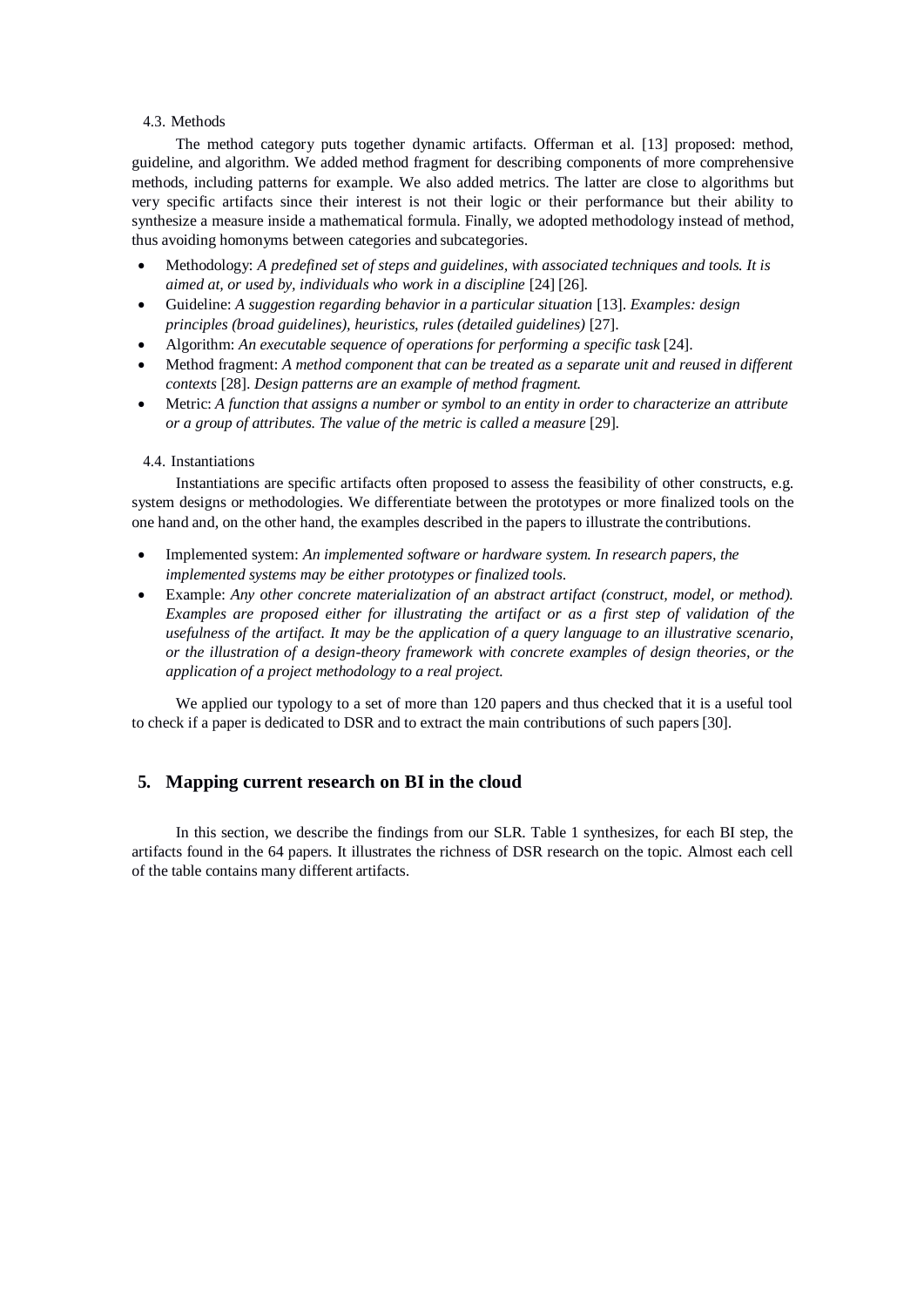### 4.3. Methods

The method category puts together dynamic artifacts. Offerman et al. [13] proposed: method, guideline, and algorithm. We added method fragment for describing components of more comprehensive methods, including patterns for example. We also added metrics. The latter are close to algorithms but very specific artifacts since their interest is not their logic or their performance but their ability to synthesize a measure inside a mathematical formula. Finally, we adopted methodology instead of method, thus avoiding homonyms between categories and subcategories.

- Methodology: *A predefined set of steps and guidelines, with associated techniques and tools. It is aimed at, or used by, individuals who work in a discipline* [24] [26].
- Guideline: *A suggestion regarding behavior in a particular situation* [13]. *Examples: design principles (broad guidelines), heuristics, rules (detailed guidelines)* [27].
- Algorithm: *An executable sequence of operations for performing a specific task* [24].
- Method fragment: *A method component that can be treated as a separate unit and reused in different contexts* [28]. *Design patterns are an example of method fragment.*
- Metric: *A function that assigns a number or symbol to an entity in order to characterize an attribute or a group of attributes. The value of the metric is called a measure* [29].

### 4.4. Instantiations

Instantiations are specific artifacts often proposed to assess the feasibility of other constructs, e.g. system designs or methodologies. We differentiate between the prototypes or more finalized tools on the one hand and, on the other hand, the examples described in the papers to illustrate the contributions.

- Implemented system: *An implemented software or hardware system. In research papers, the implemented systems may be either prototypes or finalized tools*.
- Example: *Any other concrete materialization of an abstract artifact (construct, model, or method). Examples are proposed either for illustrating the artifact or as a first step of validation of the usefulness of the artifact. It may be the application of a query language to an illustrative scenario, or the illustration of a design-theory framework with concrete examples of design theories, or the application of a project methodology to a real project.*

We applied our typology to a set of more than 120 papers and thus checked that it is a useful tool to check if a paper is dedicated to DSR and to extract the main contributions of such papers [30].

## **5. Mapping current research on BI in the cloud**

In this section, we describe the findings from our SLR. Table 1 synthesizes, for each BI step, the artifacts found in the 64 papers. It illustrates the richness of DSR research on the topic. Almost each cell of the table contains many different artifacts.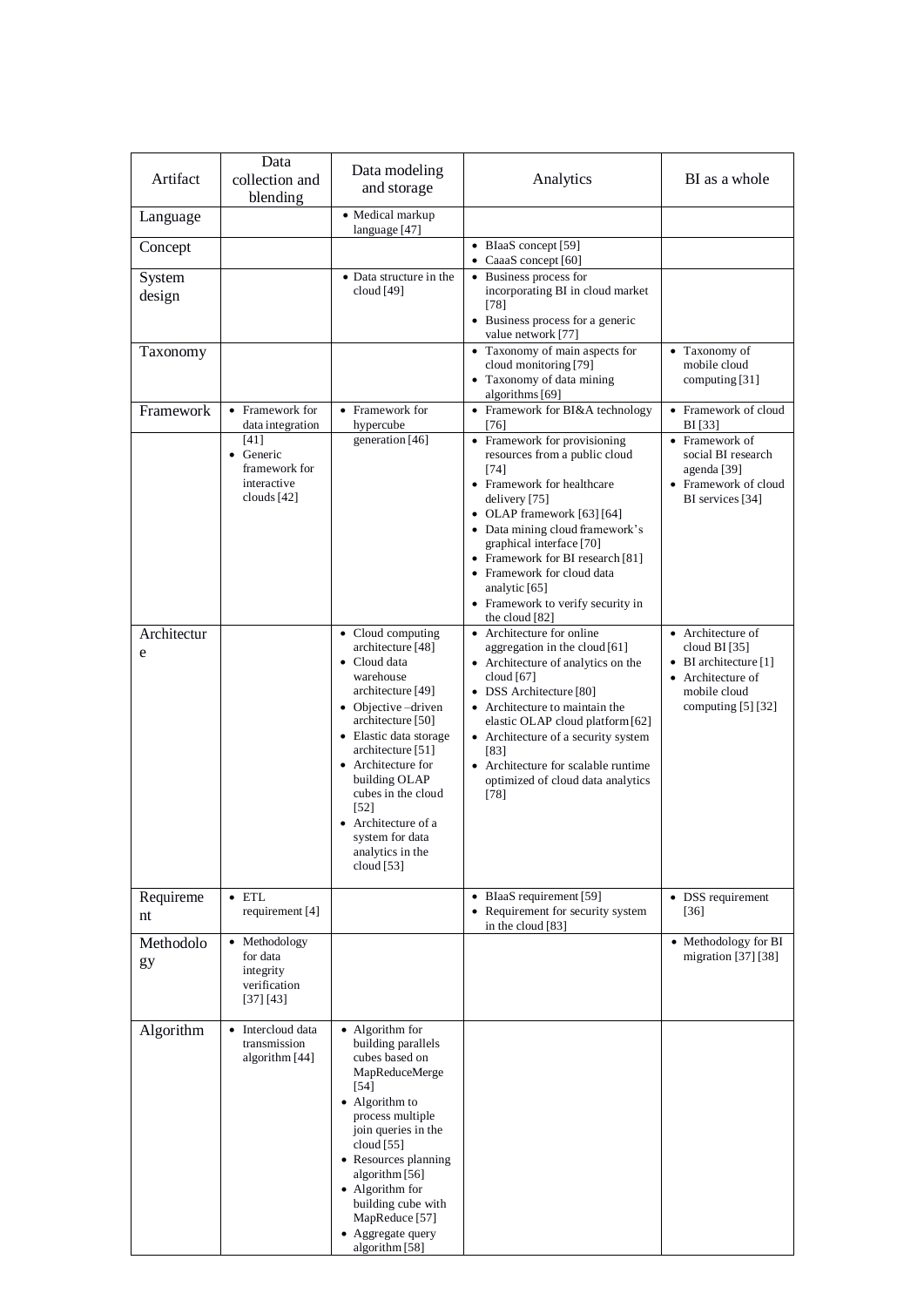| Artifact         | Data<br>collection and<br>blending                                 | Data modeling<br>and storage                                                                                                                                                                                                                                                                                                           | Analytics                                                                                                                                                                                                                                                                                                                                                   | BI as a whole                                                                                                                |  |
|------------------|--------------------------------------------------------------------|----------------------------------------------------------------------------------------------------------------------------------------------------------------------------------------------------------------------------------------------------------------------------------------------------------------------------------------|-------------------------------------------------------------------------------------------------------------------------------------------------------------------------------------------------------------------------------------------------------------------------------------------------------------------------------------------------------------|------------------------------------------------------------------------------------------------------------------------------|--|
| Language         |                                                                    | • Medical markup<br>language [47]                                                                                                                                                                                                                                                                                                      |                                                                                                                                                                                                                                                                                                                                                             |                                                                                                                              |  |
| Concept          |                                                                    |                                                                                                                                                                                                                                                                                                                                        | • BlaaS concept [59]<br>• CaaaS concept $[60]$                                                                                                                                                                                                                                                                                                              |                                                                                                                              |  |
| System<br>design |                                                                    | • Data structure in the<br>cloud $[49]$                                                                                                                                                                                                                                                                                                | • Business process for<br>incorporating BI in cloud market<br>$[78]$<br>• Business process for a generic<br>value network [77]                                                                                                                                                                                                                              |                                                                                                                              |  |
| Taxonomy         |                                                                    |                                                                                                                                                                                                                                                                                                                                        | • Taxonomy of main aspects for<br>cloud monitoring [79]<br>• Taxonomy of data mining<br>algorithms [69]                                                                                                                                                                                                                                                     | • Taxonomy of<br>mobile cloud<br>computing [31]                                                                              |  |
| Framework        | • Framework for<br>data integration                                | • Framework for<br>hypercube                                                                                                                                                                                                                                                                                                           | • Framework for BI&A technology<br>[76]                                                                                                                                                                                                                                                                                                                     | • Framework of cloud<br>BI [33]                                                                                              |  |
|                  | [41]<br>• Generic<br>framework for<br>interactive<br>clouds $[42]$ | generation [46]                                                                                                                                                                                                                                                                                                                        | • Framework for provisioning<br>resources from a public cloud<br>[74]<br>• Framework for healthcare<br>delivery [75]<br>• OLAP framework [63] [64]<br>• Data mining cloud framework's<br>graphical interface [70]<br>• Framework for BI research [81]<br>• Framework for cloud data<br>analytic [65]<br>• Framework to verify security in<br>the cloud [82] | • Framework of<br>social BI research<br>agenda [39]<br>• Framework of cloud<br>BI services [34]                              |  |
| Architectur<br>e |                                                                    | • Cloud computing<br>architecture [48]<br>• Cloud data<br>warehouse<br>architecture [49]<br>• Objective -driven<br>architecture [50]<br>• Elastic data storage<br>architecture [51]<br>• Architecture for<br>building OLAP<br>cubes in the cloud<br>[52]<br>• Architecture of a<br>system for data<br>analytics in the<br>cloud $[53]$ | • Architecture for online<br>aggregation in the cloud [61]<br>• Architecture of analytics on the<br>cloud $[67]$<br>• DSS Architecture [80]<br>• Architecture to maintain the<br>elastic OLAP cloud platform [62]<br>• Architecture of a security system<br>[83]<br>• Architecture for scalable runtime<br>optimized of cloud data analytics<br>$[78]$      | • Architecture of<br>cloud BI $[35]$<br>• BI architecture $[1]$<br>• Architecture of<br>mobile cloud<br>computing $[5]$ [32] |  |
| Requireme<br>nt  | $\bullet$ ETL<br>requirement [4]                                   |                                                                                                                                                                                                                                                                                                                                        | • BlaaS requirement [59]<br>• Requirement for security system<br>in the cloud [83]                                                                                                                                                                                                                                                                          | • DSS requirement<br>[36]                                                                                                    |  |
| Methodolo<br>gy  | Methodology<br>for data<br>integrity<br>verification<br>[37] [43]  |                                                                                                                                                                                                                                                                                                                                        |                                                                                                                                                                                                                                                                                                                                                             | • Methodology for BI<br>migration [37] [38]                                                                                  |  |
| Algorithm        | • Intercloud data<br>transmission<br>algorithm [44]                | • Algorithm for<br>building parallels<br>cubes based on<br>MapReduceMerge<br>$[54]$<br>• Algorithm to<br>process multiple<br>join queries in the<br>cloud $[55]$<br>• Resources planning<br>algorithm [56]<br>• Algorithm for<br>building cube with<br>MapReduce [57]<br>• Aggregate query<br>algorithm [58]                           |                                                                                                                                                                                                                                                                                                                                                             |                                                                                                                              |  |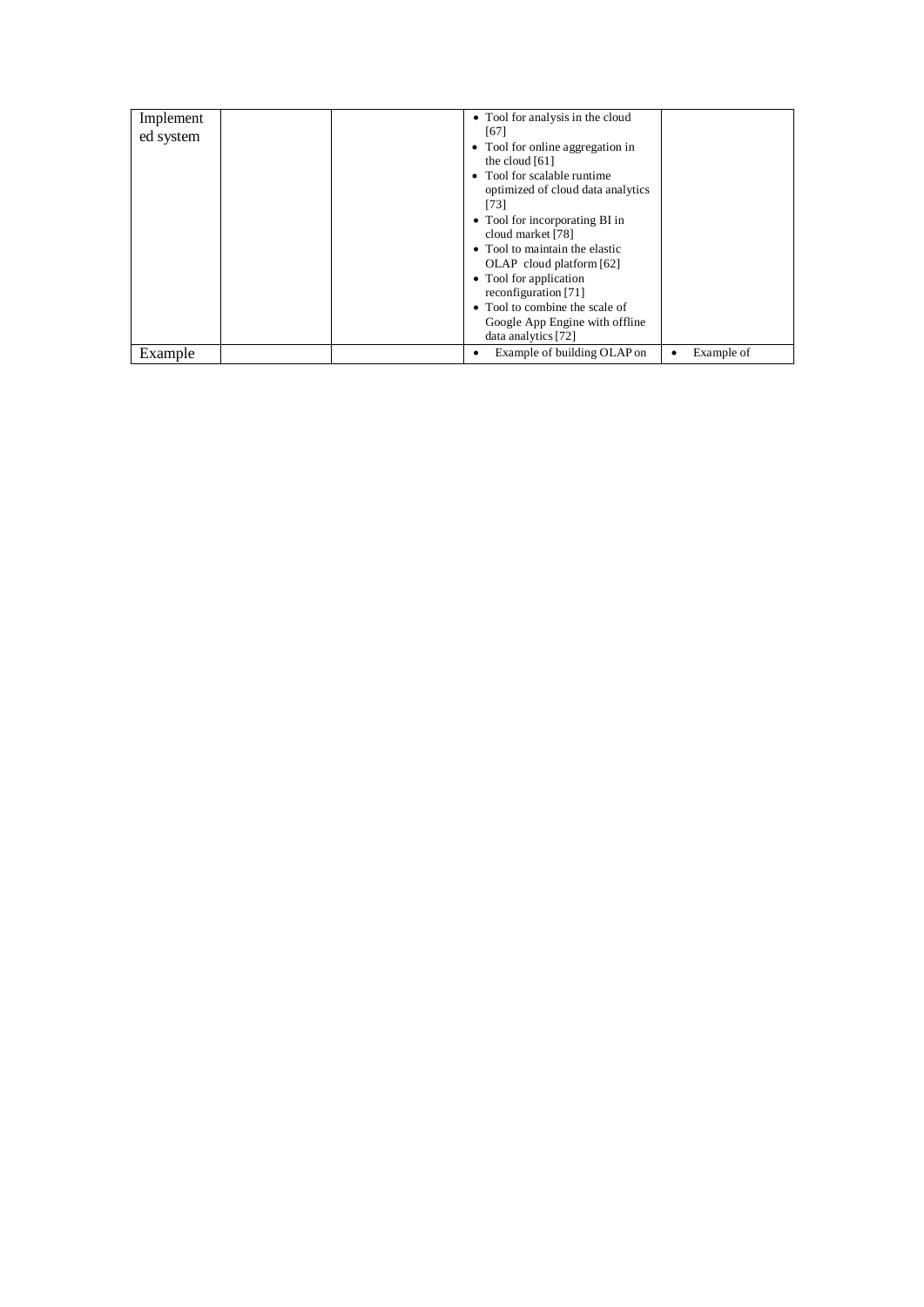| Implement<br>ed system | • Tool for analysis in the cloud<br>[67]<br>• Tool for online aggregation in<br>the cloud $[61]$<br>• Tool for scalable runtime<br>optimized of cloud data analytics<br>1731<br>• Tool for incorporating BI in<br>cloud market [78]<br>• Tool to maintain the elastic<br>OLAP cloud platform [62]<br>• Tool for application<br>reconfiguration [71]<br>• Tool to combine the scale of<br>Google App Engine with offline<br>data analytics [72] |            |
|------------------------|------------------------------------------------------------------------------------------------------------------------------------------------------------------------------------------------------------------------------------------------------------------------------------------------------------------------------------------------------------------------------------------------------------------------------------------------|------------|
| Example                | Example of building OLAP on                                                                                                                                                                                                                                                                                                                                                                                                                    | Example of |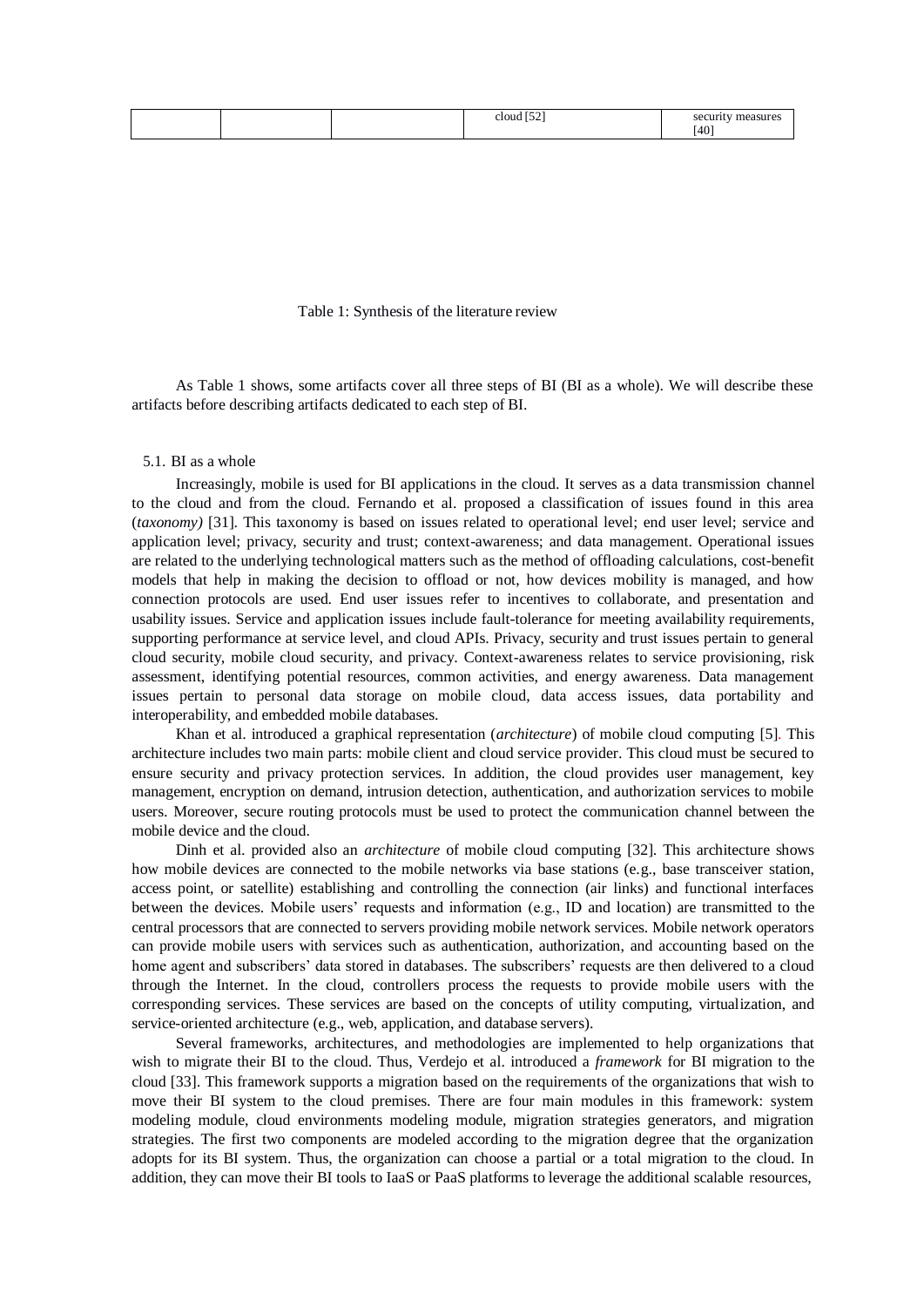|  | 1.722<br>cloud | sec<br>*** measure.<br>$40^\circ$ |
|--|----------------|-----------------------------------|
|--|----------------|-----------------------------------|

Table 1: Synthesis of the literature review

As Table 1 shows, some artifacts cover all three steps of BI (BI as a whole). We will describe these artifacts before describing artifacts dedicated to each step of BI.

#### 5.1. BI as a whole

Increasingly, mobile is used for BI applications in the cloud. It serves as a data transmission channel to the cloud and from the cloud. Fernando et al. proposed a classification of issues found in this area (*taxonomy)* [31]. This taxonomy is based on issues related to operational level; end user level; service and application level; privacy, security and trust; context-awareness; and data management. Operational issues are related to the underlying technological matters such as the method of offloading calculations, cost-benefit models that help in making the decision to offload or not, how devices mobility is managed, and how connection protocols are used. End user issues refer to incentives to collaborate, and presentation and usability issues. Service and application issues include fault-tolerance for meeting availability requirements, supporting performance at service level, and cloud APIs. Privacy, security and trust issues pertain to general cloud security, mobile cloud security, and privacy. Context-awareness relates to service provisioning, risk assessment, identifying potential resources, common activities, and energy awareness. Data management issues pertain to personal data storage on mobile cloud, data access issues, data portability and interoperability, and embedded mobile databases.

Khan et al. introduced a graphical representation (*architecture*) of mobile cloud computing [5]. This architecture includes two main parts: mobile client and cloud service provider. This cloud must be secured to ensure security and privacy protection services. In addition, the cloud provides user management, key management, encryption on demand, intrusion detection, authentication, and authorization services to mobile users. Moreover, secure routing protocols must be used to protect the communication channel between the mobile device and the cloud.

Dinh et al. provided also an *architecture* of mobile cloud computing [32]. This architecture shows how mobile devices are connected to the mobile networks via base stations (e.g., base transceiver station, access point, or satellite) establishing and controlling the connection (air links) and functional interfaces between the devices. Mobile users' requests and information (e.g., ID and location) are transmitted to the central processors that are connected to servers providing mobile network services. Mobile network operators can provide mobile users with services such as authentication, authorization, and accounting based on the home agent and subscribers' data stored in databases. The subscribers' requests are then delivered to a cloud through the Internet. In the cloud, controllers process the requests to provide mobile users with the corresponding services. These services are based on the concepts of utility computing, virtualization, and service-oriented architecture (e.g., web, application, and database servers).

Several frameworks, architectures, and methodologies are implemented to help organizations that wish to migrate their BI to the cloud. Thus, Verdejo et al. introduced a *framework* for BI migration to the cloud [33]. This framework supports a migration based on the requirements of the organizations that wish to move their BI system to the cloud premises. There are four main modules in this framework: system modeling module, cloud environments modeling module, migration strategies generators, and migration strategies. The first two components are modeled according to the migration degree that the organization adopts for its BI system. Thus, the organization can choose a partial or a total migration to the cloud. In addition, they can move their BI tools to IaaS or PaaS platforms to leverage the additional scalable resources,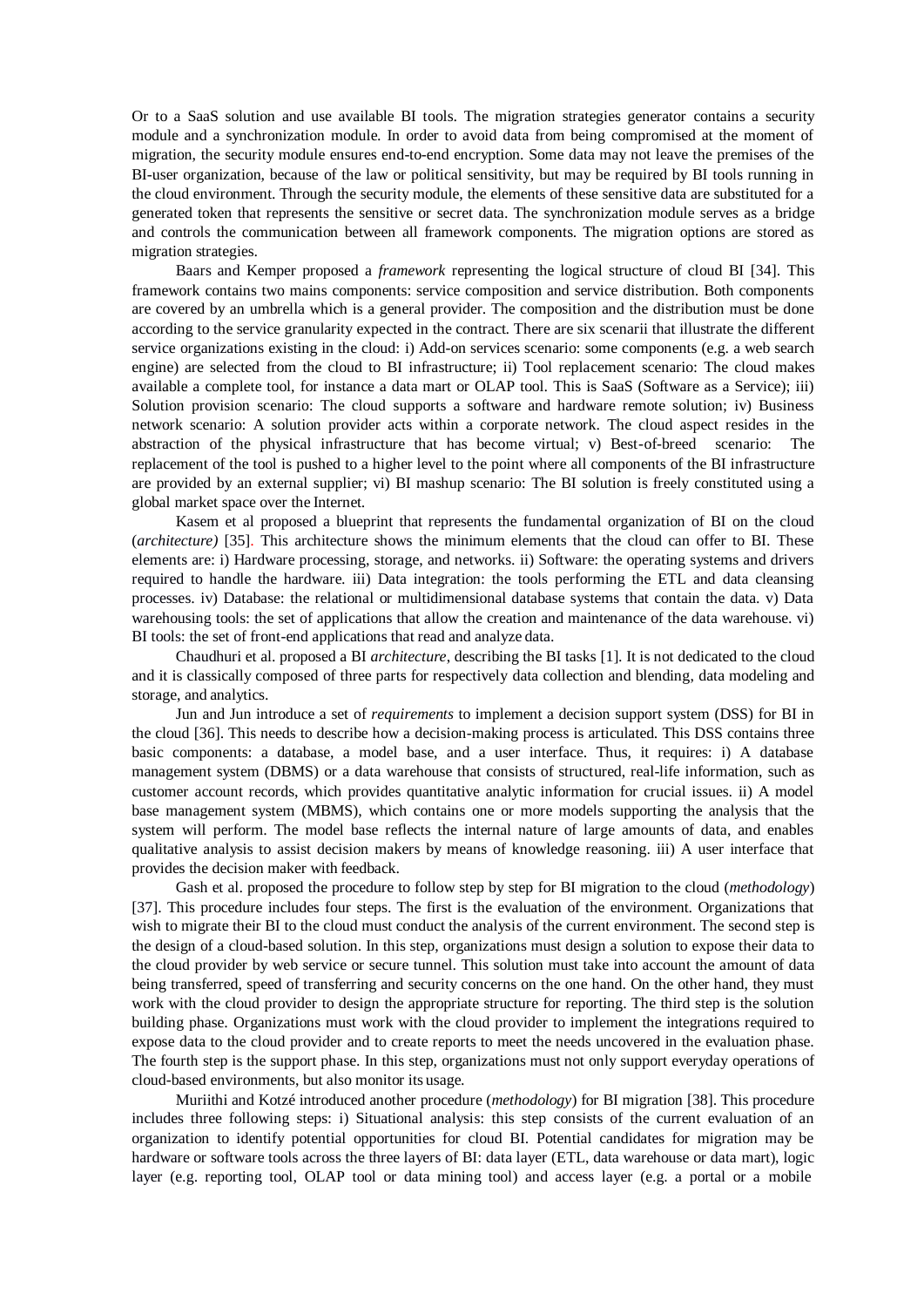Or to a SaaS solution and use available BI tools. The migration strategies generator contains a security module and a synchronization module. In order to avoid data from being compromised at the moment of migration, the security module ensures end-to-end encryption. Some data may not leave the premises of the BI-user organization, because of the law or political sensitivity, but may be required by BI tools running in the cloud environment. Through the security module, the elements of these sensitive data are substituted for a generated token that represents the sensitive or secret data. The synchronization module serves as a bridge and controls the communication between all framework components. The migration options are stored as migration strategies.

Baars and Kemper proposed a *framework* representing the logical structure of cloud BI [34]. This framework contains two mains components: service composition and service distribution. Both components are covered by an umbrella which is a general provider. The composition and the distribution must be done according to the service granularity expected in the contract. There are six scenarii that illustrate the different service organizations existing in the cloud: i) Add-on services scenario: some components (e.g. a web search engine) are selected from the cloud to BI infrastructure; ii) Tool replacement scenario: The cloud makes available a complete tool, for instance a data mart or OLAP tool. This is SaaS (Software as a Service); iii) Solution provision scenario: The cloud supports a software and hardware remote solution; iv) Business network scenario: A solution provider acts within a corporate network. The cloud aspect resides in the abstraction of the physical infrastructure that has become virtual; v) Best-of-breed scenario: The replacement of the tool is pushed to a higher level to the point where all components of the BI infrastructure are provided by an external supplier; vi) BI mashup scenario: The BI solution is freely constituted using a global market space over the Internet.

Kasem et al proposed a blueprint that represents the fundamental organization of BI on the cloud (*architecture)* [35]. This architecture shows the minimum elements that the cloud can offer to BI. These elements are: i) Hardware processing, storage, and networks. ii) Software: the operating systems and drivers required to handle the hardware. iii) Data integration: the tools performing the ETL and data cleansing processes. iv) Database: the relational or multidimensional database systems that contain the data. v) Data warehousing tools: the set of applications that allow the creation and maintenance of the data warehouse. vi) BI tools: the set of front-end applications that read and analyze data.

Chaudhuri et al. proposed a BI *architecture*, describing the BI tasks [1]. It is not dedicated to the cloud and it is classically composed of three parts for respectively data collection and blending, data modeling and storage, and analytics.

Jun and Jun introduce a set of *requirements* to implement a decision support system (DSS) for BI in the cloud [36]. This needs to describe how a decision-making process is articulated. This DSS contains three basic components: a database, a model base, and a user interface. Thus, it requires: i) A database management system (DBMS) or a data warehouse that consists of structured, real-life information, such as customer account records, which provides quantitative analytic information for crucial issues. ii) A model base management system (MBMS), which contains one or more models supporting the analysis that the system will perform. The model base reflects the internal nature of large amounts of data, and enables qualitative analysis to assist decision makers by means of knowledge reasoning. iii) A user interface that provides the decision maker with feedback.

Gash et al. proposed the procedure to follow step by step for BI migration to the cloud (*methodology*) [37]. This procedure includes four steps. The first is the evaluation of the environment. Organizations that wish to migrate their BI to the cloud must conduct the analysis of the current environment. The second step is the design of a cloud-based solution. In this step, organizations must design a solution to expose their data to the cloud provider by web service or secure tunnel. This solution must take into account the amount of data being transferred, speed of transferring and security concerns on the one hand. On the other hand, they must work with the cloud provider to design the appropriate structure for reporting. The third step is the solution building phase. Organizations must work with the cloud provider to implement the integrations required to expose data to the cloud provider and to create reports to meet the needs uncovered in the evaluation phase. The fourth step is the support phase. In this step, organizations must not only support everyday operations of cloud-based environments, but also monitor its usage.

Muriithi and Kotzé introduced another procedure (*methodology*) for BI migration [38]. This procedure includes three following steps: i) Situational analysis: this step consists of the current evaluation of an organization to identify potential opportunities for cloud BI. Potential candidates for migration may be hardware or software tools across the three layers of BI: data layer (ETL, data warehouse or data mart), logic layer (e.g. reporting tool, OLAP tool or data mining tool) and access layer (e.g. a portal or a mobile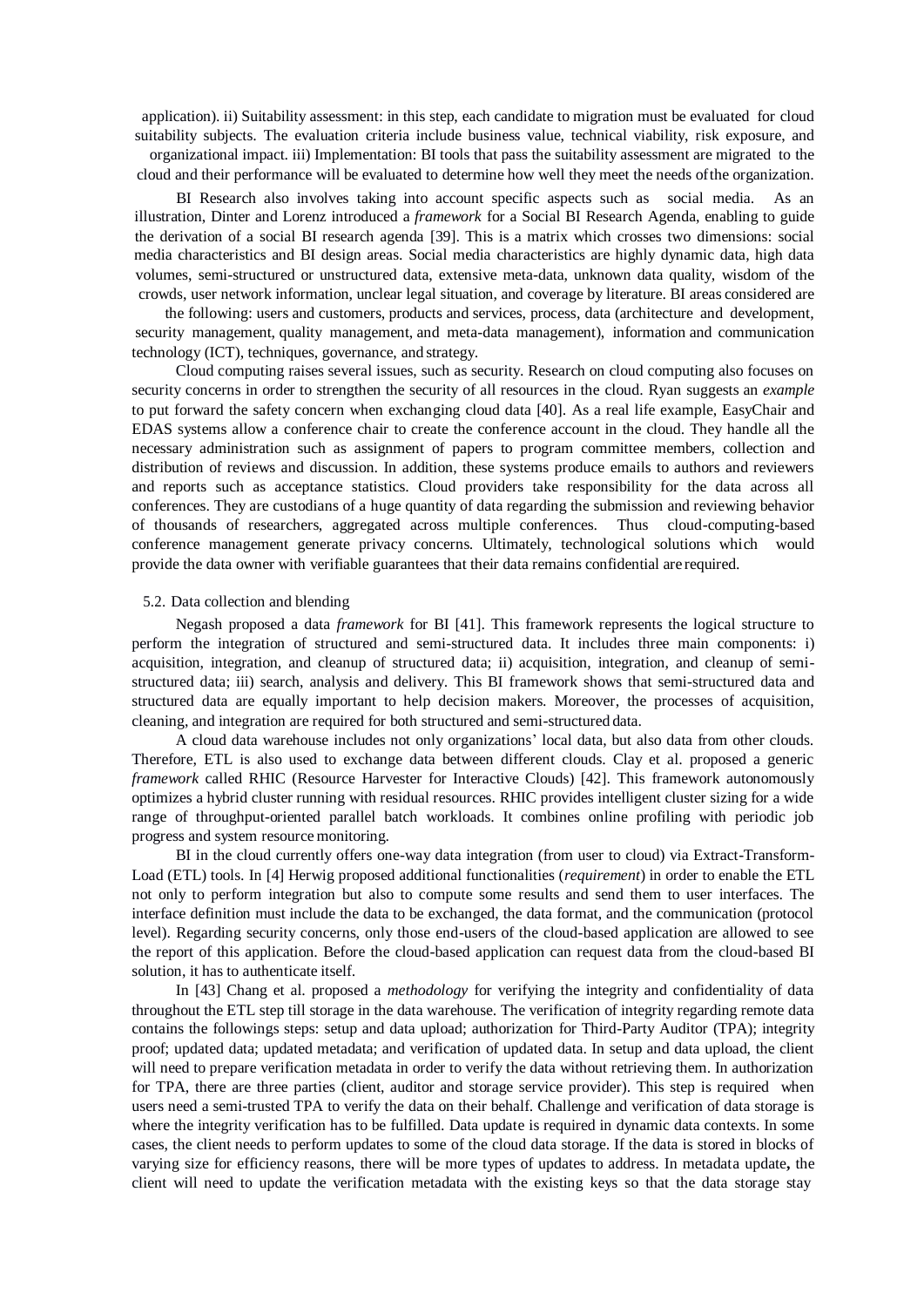application). ii) Suitability assessment: in this step, each candidate to migration must be evaluated for cloud suitability subjects. The evaluation criteria include business value, technical viability, risk exposure, and organizational impact. iii) Implementation: BI tools that pass the suitability assessment are migrated to the cloud and their performance will be evaluated to determine how well they meet the needs ofthe organization.

BI Research also involves taking into account specific aspects such as social media. As an illustration, Dinter and Lorenz introduced a *framework* for a Social BI Research Agenda, enabling to guide the derivation of a social BI research agenda [39]. This is a matrix which crosses two dimensions: social media characteristics and BI design areas. Social media characteristics are highly dynamic data, high data volumes, semi-structured or unstructured data, extensive meta-data, unknown data quality, wisdom of the crowds, user network information, unclear legal situation, and coverage by literature. BI areas considered are

the following: users and customers, products and services, process, data (architecture and development, security management, quality management, and meta-data management), information and communication technology (ICT), techniques, governance, and strategy.

Cloud computing raises several issues, such as security. Research on cloud computing also focuses on security concerns in order to strengthen the security of all resources in the cloud. Ryan suggests an *example*  to put forward the safety concern when exchanging cloud data [40]. As a real life example, EasyChair and EDAS systems allow a conference chair to create the conference account in the cloud. They handle all the necessary administration such as assignment of papers to program committee members, collection and distribution of reviews and discussion. In addition, these systems produce emails to authors and reviewers and reports such as acceptance statistics. Cloud providers take responsibility for the data across all conferences. They are custodians of a huge quantity of data regarding the submission and reviewing behavior of thousands of researchers, aggregated across multiple conferences. Thus cloud-computing-based conference management generate privacy concerns. Ultimately, technological solutions which would provide the data owner with verifiable guarantees that their data remains confidential are required.

### 5.2. Data collection and blending

Negash proposed a data *framework* for BI [41]. This framework represents the logical structure to perform the integration of structured and semi-structured data. It includes three main components: i) acquisition, integration, and cleanup of structured data; ii) acquisition, integration, and cleanup of semistructured data; iii) search, analysis and delivery. This BI framework shows that semi-structured data and structured data are equally important to help decision makers. Moreover, the processes of acquisition, cleaning, and integration are required for both structured and semi-structured data.

A cloud data warehouse includes not only organizations' local data, but also data from other clouds. Therefore, ETL is also used to exchange data between different clouds. Clay et al. proposed a generic *framework* called RHIC (Resource Harvester for Interactive Clouds) [42]. This framework autonomously optimizes a hybrid cluster running with residual resources. RHIC provides intelligent cluster sizing for a wide range of throughput-oriented parallel batch workloads. It combines online profiling with periodic job progress and system resource monitoring.

BI in the cloud currently offers one-way data integration (from user to cloud) via Extract-Transform-Load (ETL) tools. In [4] Herwig proposed additional functionalities (*requirement*) in order to enable the ETL not only to perform integration but also to compute some results and send them to user interfaces. The interface definition must include the data to be exchanged, the data format, and the communication (protocol level). Regarding security concerns, only those end-users of the cloud-based application are allowed to see the report of this application. Before the cloud-based application can request data from the cloud-based BI solution, it has to authenticate itself.

In [43] Chang et al. proposed a *methodology* for verifying the integrity and confidentiality of data throughout the ETL step till storage in the data warehouse. The verification of integrity regarding remote data contains the followings steps: setup and data upload; authorization for Third-Party Auditor (TPA); integrity proof; updated data; updated metadata; and verification of updated data. In setup and data upload, the client will need to prepare verification metadata in order to verify the data without retrieving them. In authorization for TPA, there are three parties (client, auditor and storage service provider). This step is required when users need a semi-trusted TPA to verify the data on their behalf. Challenge and verification of data storage is where the integrity verification has to be fulfilled. Data update is required in dynamic data contexts. In some cases, the client needs to perform updates to some of the cloud data storage. If the data is stored in blocks of varying size for efficiency reasons, there will be more types of updates to address. In metadata update**,** the client will need to update the verification metadata with the existing keys so that the data storage stay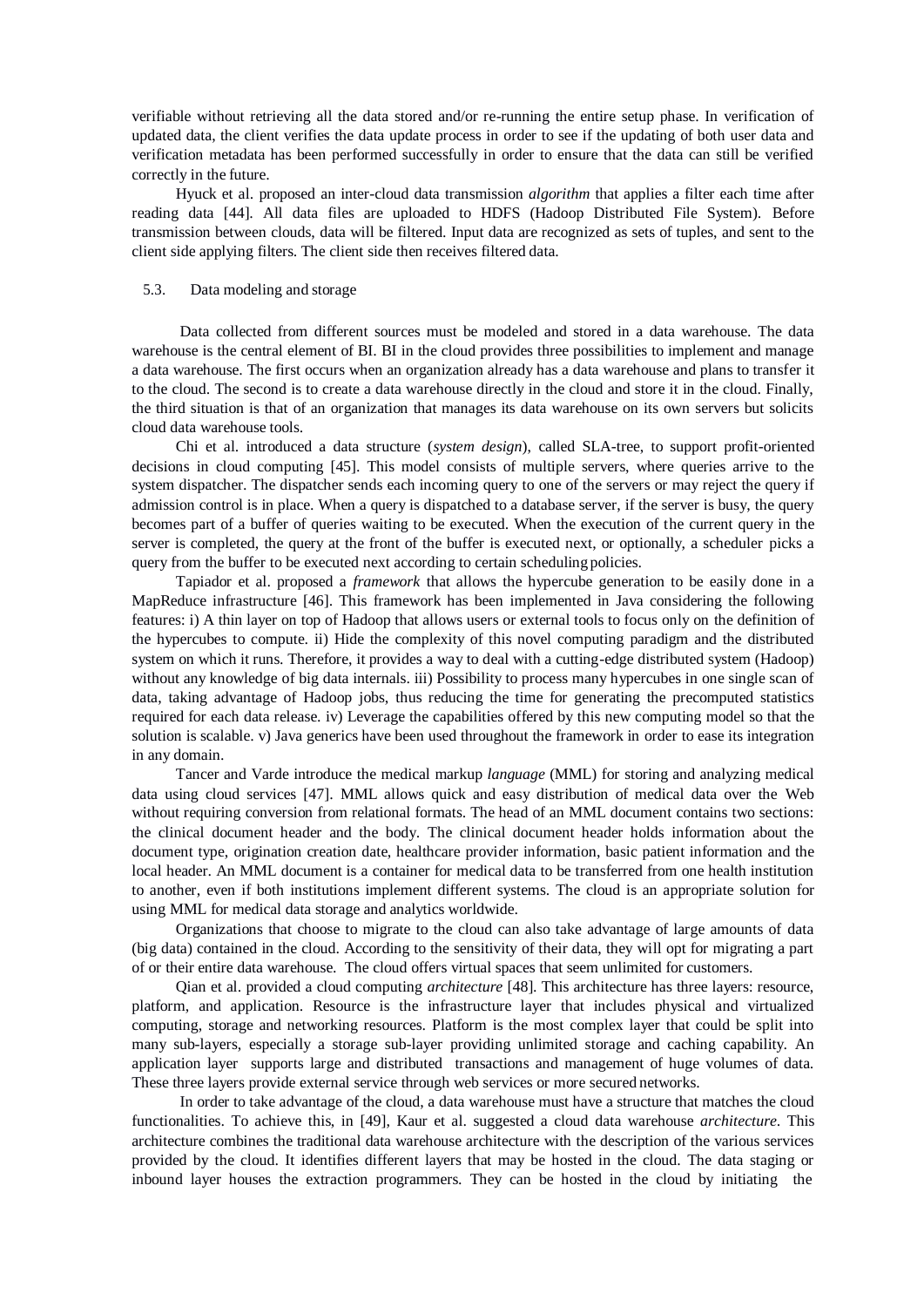verifiable without retrieving all the data stored and/or re-running the entire setup phase. In verification of updated data, the client verifies the data update process in order to see if the updating of both user data and verification metadata has been performed successfully in order to ensure that the data can still be verified correctly in the future.

Hyuck et al. proposed an inter-cloud data transmission *algorithm* that applies a filter each time after reading data [44]. All data files are uploaded to HDFS (Hadoop Distributed File System). Before transmission between clouds, data will be filtered. Input data are recognized as sets of tuples, and sent to the client side applying filters. The client side then receives filtered data.

### 5.3. Data modeling and storage

Data collected from different sources must be modeled and stored in a data warehouse. The data warehouse is the central element of BI. BI in the cloud provides three possibilities to implement and manage a data warehouse. The first occurs when an organization already has a data warehouse and plans to transfer it to the cloud. The second is to create a data warehouse directly in the cloud and store it in the cloud. Finally, the third situation is that of an organization that manages its data warehouse on its own servers but solicits cloud data warehouse tools.

Chi et al. introduced a data structure (*system design*), called SLA-tree, to support profit-oriented decisions in cloud computing [45]. This model consists of multiple servers, where queries arrive to the system dispatcher. The dispatcher sends each incoming query to one of the servers or may reject the query if admission control is in place. When a query is dispatched to a database server, if the server is busy, the query becomes part of a buffer of queries waiting to be executed. When the execution of the current query in the server is completed, the query at the front of the buffer is executed next, or optionally, a scheduler picks a query from the buffer to be executed next according to certain schedulingpolicies.

Tapiador et al. proposed a *framework* that allows the hypercube generation to be easily done in a MapReduce infrastructure [46]. This framework has been implemented in Java considering the following features: i) A thin layer on top of Hadoop that allows users or external tools to focus only on the definition of the hypercubes to compute. ii) Hide the complexity of this novel computing paradigm and the distributed system on which it runs. Therefore, it provides a way to deal with a cutting-edge distributed system (Hadoop) without any knowledge of big data internals. iii) Possibility to process many hypercubes in one single scan of data, taking advantage of Hadoop jobs, thus reducing the time for generating the precomputed statistics required for each data release. iv) Leverage the capabilities offered by this new computing model so that the solution is scalable. v) Java generics have been used throughout the framework in order to ease its integration in any domain.

Tancer and Varde introduce the medical markup *language* (MML) for storing and analyzing medical data using cloud services [47]. MML allows quick and easy distribution of medical data over the Web without requiring conversion from relational formats. The head of an MML document contains two sections: the clinical document header and the body. The clinical document header holds information about the document type, origination creation date, healthcare provider information, basic patient information and the local header. An MML document is a container for medical data to be transferred from one health institution to another, even if both institutions implement different systems. The cloud is an appropriate solution for using MML for medical data storage and analytics worldwide.

Organizations that choose to migrate to the cloud can also take advantage of large amounts of data (big data) contained in the cloud. According to the sensitivity of their data, they will opt for migrating a part of or their entire data warehouse. The cloud offers virtual spaces that seem unlimited for customers.

Qian et al. provided a cloud computing *architecture* [48]. This architecture has three layers: resource, platform, and application. Resource is the infrastructure layer that includes physical and virtualized computing, storage and networking resources. Platform is the most complex layer that could be split into many sub-layers, especially a storage sub-layer providing unlimited storage and caching capability. An application layer supports large and distributed transactions and management of huge volumes of data. These three layers provide external service through web services or more secured networks.

In order to take advantage of the cloud, a data warehouse must have a structure that matches the cloud functionalities. To achieve this, in [49], Kaur et al. suggested a cloud data warehouse *architecture*. This architecture combines the traditional data warehouse architecture with the description of the various services provided by the cloud. It identifies different layers that may be hosted in the cloud. The data staging or inbound layer houses the extraction programmers. They can be hosted in the cloud by initiating the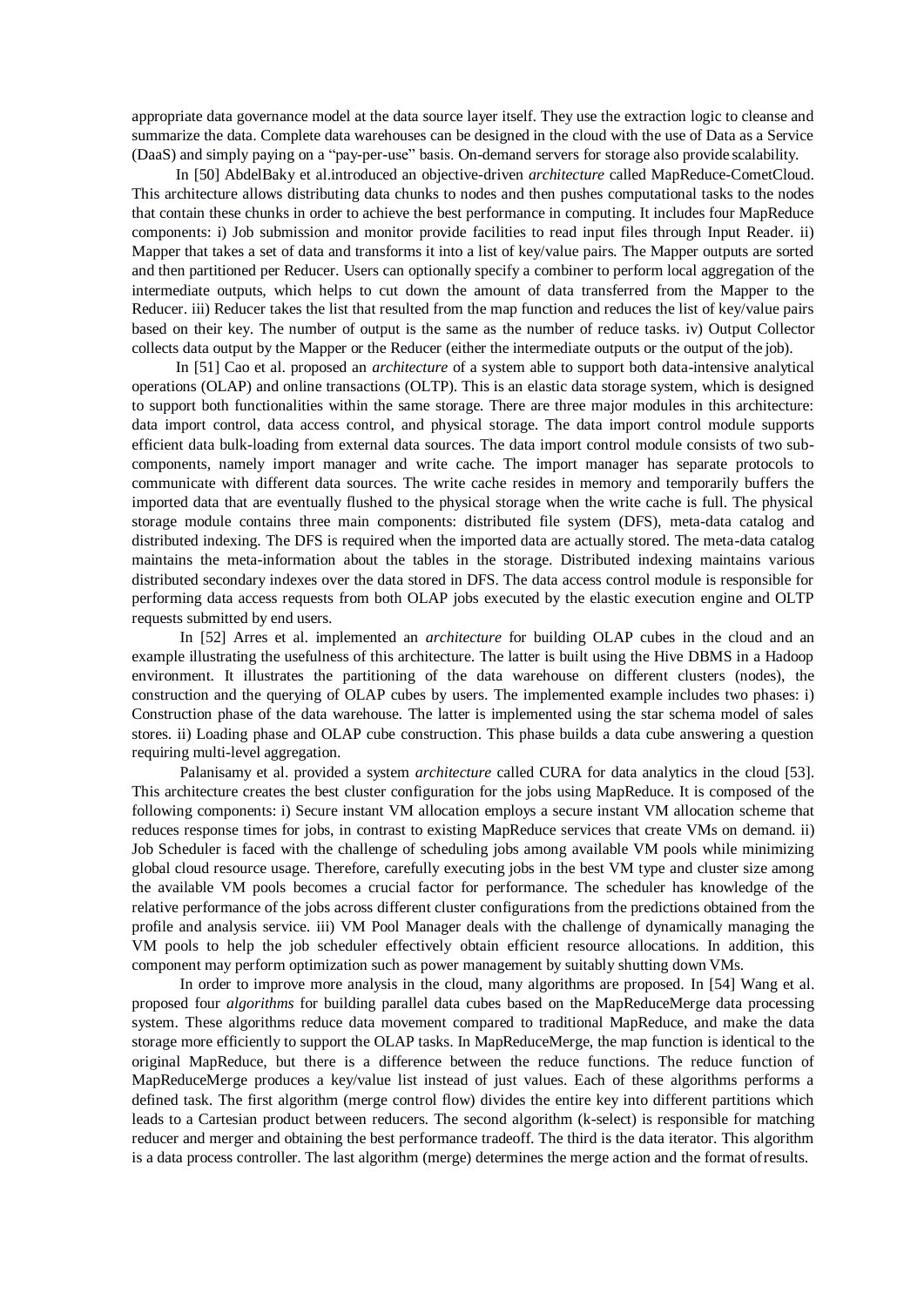appropriate data governance model at the data source layer itself. They use the extraction logic to cleanse and summarize the data. Complete data warehouses can be designed in the cloud with the use of Data as a Service (DaaS) and simply paying on a "pay-per-use" basis. On-demand servers for storage also provide scalability.

In [50] AbdelBaky et al.introduced an objective-driven *architecture* called MapReduce-CometCloud. This architecture allows distributing data chunks to nodes and then pushes computational tasks to the nodes that contain these chunks in order to achieve the best performance in computing. It includes four MapReduce components: i) Job submission and monitor provide facilities to read input files through Input Reader. ii) Mapper that takes a set of data and transforms it into a list of key/value pairs. The Mapper outputs are sorted and then partitioned per Reducer. Users can optionally specify a combiner to perform local aggregation of the intermediate outputs, which helps to cut down the amount of data transferred from the Mapper to the Reducer. iii) Reducer takes the list that resulted from the map function and reduces the list of key/value pairs based on their key. The number of output is the same as the number of reduce tasks. iv) Output Collector collects data output by the Mapper or the Reducer (either the intermediate outputs or the output of the job).

In [51] Cao et al. proposed an *architecture* of a system able to support both data-intensive analytical operations (OLAP) and online transactions (OLTP). This is an elastic data storage system, which is designed to support both functionalities within the same storage. There are three major modules in this architecture: data import control, data access control, and physical storage. The data import control module supports efficient data bulk-loading from external data sources. The data import control module consists of two subcomponents, namely import manager and write cache. The import manager has separate protocols to communicate with different data sources. The write cache resides in memory and temporarily buffers the imported data that are eventually flushed to the physical storage when the write cache is full. The physical storage module contains three main components: distributed file system (DFS), meta-data catalog and distributed indexing. The DFS is required when the imported data are actually stored. The meta-data catalog maintains the meta-information about the tables in the storage. Distributed indexing maintains various distributed secondary indexes over the data stored in DFS. The data access control module is responsible for performing data access requests from both OLAP jobs executed by the elastic execution engine and OLTP requests submitted by end users.

In [52] Arres et al. implemented an *architecture* for building OLAP cubes in the cloud and an example illustrating the usefulness of this architecture. The latter is built using the Hive DBMS in a Hadoop environment. It illustrates the partitioning of the data warehouse on different clusters (nodes), the construction and the querying of OLAP cubes by users. The implemented example includes two phases: i) Construction phase of the data warehouse. The latter is implemented using the star schema model of sales stores. ii) Loading phase and OLAP cube construction. This phase builds a data cube answering a question requiring multi-level aggregation.

Palanisamy et al. provided a system *architecture* called CURA for data analytics in the cloud [53]. This architecture creates the best cluster configuration for the jobs using MapReduce. It is composed of the following components: i) Secure instant VM allocation employs a secure instant VM allocation scheme that reduces response times for jobs, in contrast to existing MapReduce services that create VMs on demand. ii) Job Scheduler is faced with the challenge of scheduling jobs among available VM pools while minimizing global cloud resource usage. Therefore, carefully executing jobs in the best VM type and cluster size among the available VM pools becomes a crucial factor for performance. The scheduler has knowledge of the relative performance of the jobs across different cluster configurations from the predictions obtained from the profile and analysis service. iii) VM Pool Manager deals with the challenge of dynamically managing the VM pools to help the job scheduler effectively obtain efficient resource allocations. In addition, this component may perform optimization such as power management by suitably shutting down VMs.

In order to improve more analysis in the cloud, many algorithms are proposed. In [54] Wang et al. proposed four *algorithms* for building parallel data cubes based on the MapReduceMerge data processing system. These algorithms reduce data movement compared to traditional MapReduce, and make the data storage more efficiently to support the OLAP tasks. In MapReduceMerge, the map function is identical to the original MapReduce, but there is a difference between the reduce functions. The reduce function of MapReduceMerge produces a key/value list instead of just values. Each of these algorithms performs a defined task. The first algorithm (merge control flow) divides the entire key into different partitions which leads to a Cartesian product between reducers. The second algorithm (k-select) is responsible for matching reducer and merger and obtaining the best performance tradeoff. The third is the data iterator. This algorithm is a data process controller. The last algorithm (merge) determines the merge action and the format ofresults.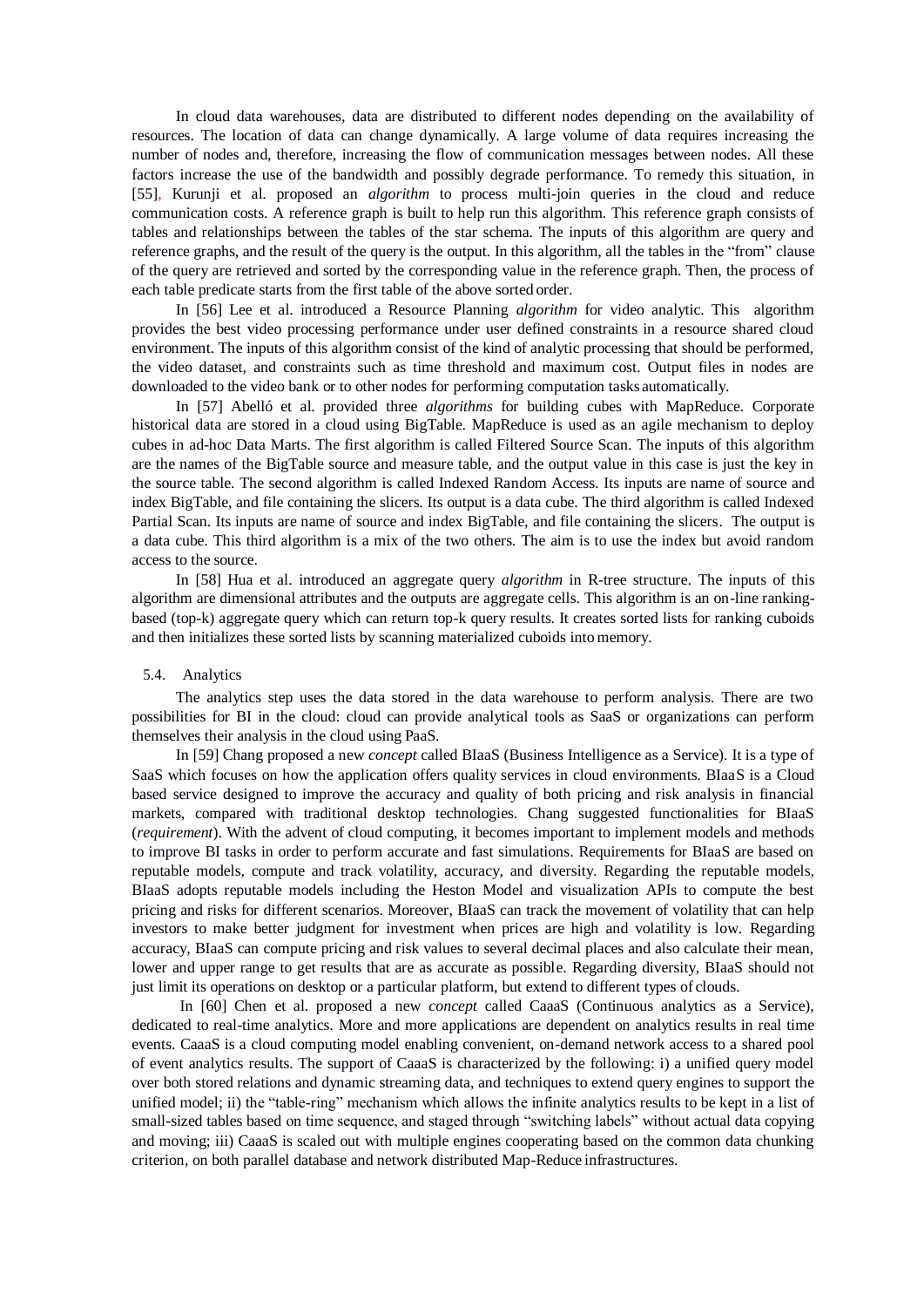In cloud data warehouses, data are distributed to different nodes depending on the availability of resources. The location of data can change dynamically. A large volume of data requires increasing the number of nodes and, therefore, increasing the flow of communication messages between nodes. All these factors increase the use of the bandwidth and possibly degrade performance. To remedy this situation, in [55], Kurunji et al. proposed an *algorithm* to process multi-join queries in the cloud and reduce communication costs. A reference graph is built to help run this algorithm. This reference graph consists of tables and relationships between the tables of the star schema. The inputs of this algorithm are query and reference graphs, and the result of the query is the output. In this algorithm, all the tables in the "from" clause of the query are retrieved and sorted by the corresponding value in the reference graph. Then, the process of each table predicate starts from the first table of the above sorted order.

In [56] Lee et al. introduced a Resource Planning *algorithm* for video analytic. This algorithm provides the best video processing performance under user defined constraints in a resource shared cloud environment. The inputs of this algorithm consist of the kind of analytic processing that should be performed, the video dataset, and constraints such as time threshold and maximum cost. Output files in nodes are downloaded to the video bank or to other nodes for performing computation tasks automatically.

In [57] Abelló et al. provided three *algorithms* for building cubes with MapReduce. Corporate historical data are stored in a cloud using BigTable. MapReduce is used as an agile mechanism to deploy cubes in ad-hoc Data Marts. The first algorithm is called Filtered Source Scan. The inputs of this algorithm are the names of the BigTable source and measure table, and the output value in this case is just the key in the source table. The second algorithm is called Indexed Random Access. Its inputs are name of source and index BigTable, and file containing the slicers. Its output is a data cube. The third algorithm is called Indexed Partial Scan. Its inputs are name of source and index BigTable, and file containing the slicers. The output is a data cube. This third algorithm is a mix of the two others. The aim is to use the index but avoid random access to the source.

In [58] Hua et al. introduced an aggregate query *algorithm* in R-tree structure. The inputs of this algorithm are dimensional attributes and the outputs are aggregate cells. This algorithm is an on-line rankingbased (top-k) aggregate query which can return top-k query results. It creates sorted lists for ranking cuboids and then initializes these sorted lists by scanning materialized cuboids into memory.

### 5.4. Analytics

The analytics step uses the data stored in the data warehouse to perform analysis. There are two possibilities for BI in the cloud: cloud can provide analytical tools as SaaS or organizations can perform themselves their analysis in the cloud using PaaS.

In [59] Chang proposed a new *concept* called BIaaS (Business Intelligence as a Service). It is a type of SaaS which focuses on how the application offers quality services in cloud environments. BIaaS is a Cloud based service designed to improve the accuracy and quality of both pricing and risk analysis in financial markets, compared with traditional desktop technologies. Chang suggested functionalities for BIaaS (*requirement*). With the advent of cloud computing, it becomes important to implement models and methods to improve BI tasks in order to perform accurate and fast simulations. Requirements for BIaaS are based on reputable models, compute and track volatility, accuracy, and diversity. Regarding the reputable models, BIaaS adopts reputable models including the Heston Model and visualization APIs to compute the best pricing and risks for different scenarios. Moreover, BIaaS can track the movement of volatility that can help investors to make better judgment for investment when prices are high and volatility is low. Regarding accuracy, BIaaS can compute pricing and risk values to several decimal places and also calculate their mean, lower and upper range to get results that are as accurate as possible. Regarding diversity, BIaaS should not just limit its operations on desktop or a particular platform, but extend to different types of clouds.

In [60] Chen et al. proposed a new *concept* called CaaaS (Continuous analytics as a Service), dedicated to real-time analytics. More and more applications are dependent on analytics results in real time events. CaaaS is a cloud computing model enabling convenient, on-demand network access to a shared pool of event analytics results. The support of CaaaS is characterized by the following: i) a unified query model over both stored relations and dynamic streaming data, and techniques to extend query engines to support the unified model; ii) the "table-ring" mechanism which allows the infinite analytics results to be kept in a list of small-sized tables based on time sequence, and staged through "switching labels" without actual data copying and moving; iii) CaaaS is scaled out with multiple engines cooperating based on the common data chunking criterion, on both parallel database and network distributed Map-Reduce infrastructures.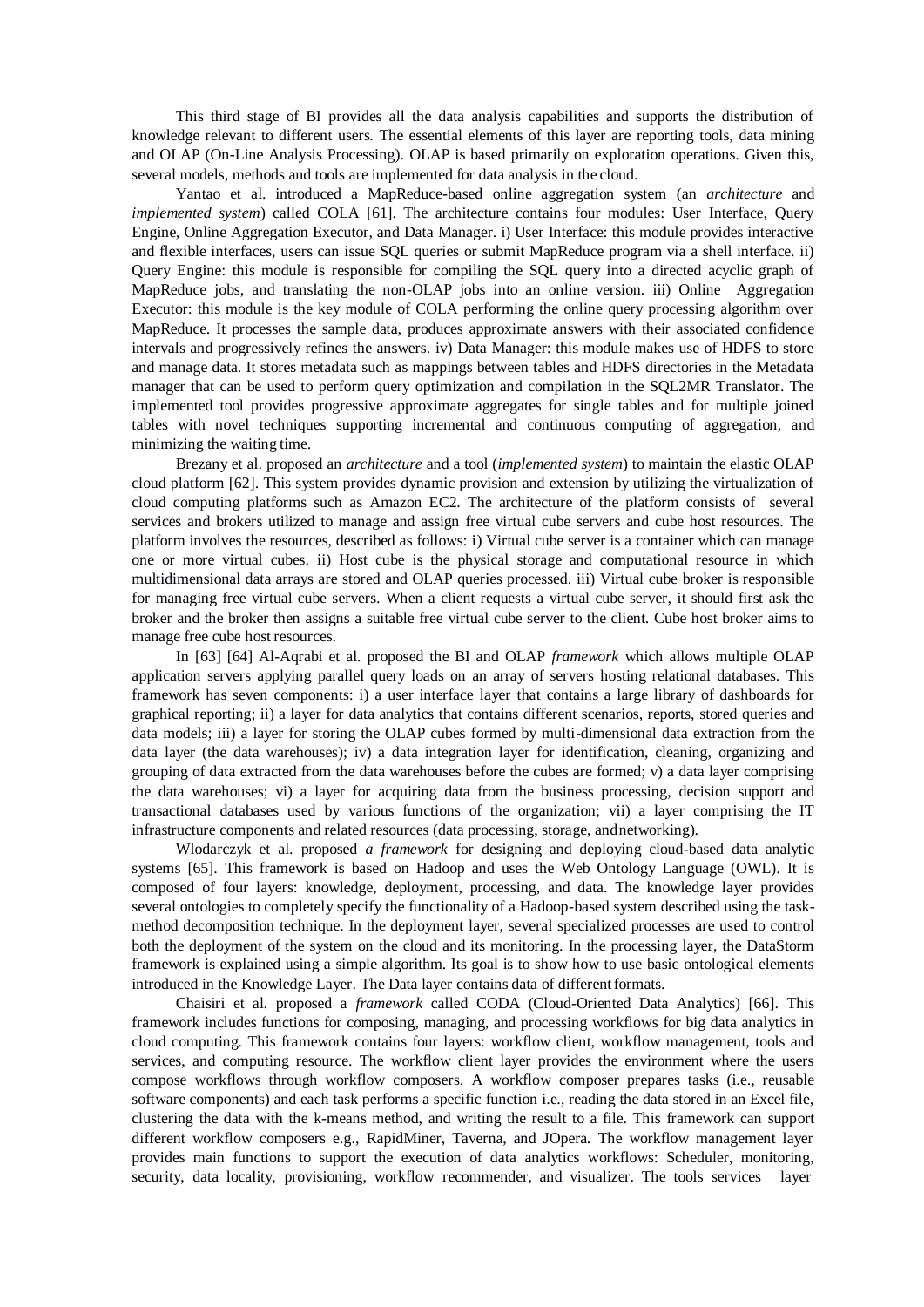This third stage of BI provides all the data analysis capabilities and supports the distribution of knowledge relevant to different users. The essential elements of this layer are reporting tools, data mining and OLAP (On-Line Analysis Processing). OLAP is based primarily on exploration operations. Given this, several models, methods and tools are implemented for data analysis in the cloud.

Yantao et al. introduced a MapReduce-based online aggregation system (an *architecture* and *implemented system*) called COLA [61]. The architecture contains four modules: User Interface, Query Engine, Online Aggregation Executor, and Data Manager. i) User Interface: this module provides interactive and flexible interfaces, users can issue SQL queries or submit MapReduce program via a shell interface. ii) Query Engine: this module is responsible for compiling the SQL query into a directed acyclic graph of MapReduce jobs, and translating the non-OLAP jobs into an online version. iii) Online Aggregation Executor: this module is the key module of COLA performing the online query processing algorithm over MapReduce. It processes the sample data, produces approximate answers with their associated confidence intervals and progressively refines the answers. iv) Data Manager: this module makes use of HDFS to store and manage data. It stores metadata such as mappings between tables and HDFS directories in the Metadata manager that can be used to perform query optimization and compilation in the SQL2MR Translator. The implemented tool provides progressive approximate aggregates for single tables and for multiple joined tables with novel techniques supporting incremental and continuous computing of aggregation, and minimizing the waiting time.

Brezany et al. proposed an *architecture* and a tool (*implemented system*) to maintain the elastic OLAP cloud platform [62]. This system provides dynamic provision and extension by utilizing the virtualization of cloud computing platforms such as Amazon EC2. The architecture of the platform consists of several services and brokers utilized to manage and assign free virtual cube servers and cube host resources. The platform involves the resources, described as follows: i) Virtual cube server is a container which can manage one or more virtual cubes. ii) Host cube is the physical storage and computational resource in which multidimensional data arrays are stored and OLAP queries processed. iii) Virtual cube broker is responsible for managing free virtual cube servers. When a client requests a virtual cube server, it should first ask the broker and the broker then assigns a suitable free virtual cube server to the client. Cube host broker aims to manage free cube host resources.

In [63] [64] Al-Aqrabi et al. proposed the BI and OLAP *framework* which allows multiple OLAP application servers applying parallel query loads on an array of servers hosting relational databases. This framework has seven components: i) a user interface layer that contains a large library of dashboards for graphical reporting; ii) a layer for data analytics that contains different scenarios, reports, stored queries and data models; iii) a layer for storing the OLAP cubes formed by multi-dimensional data extraction from the data layer (the data warehouses); iv) a data integration layer for identification, cleaning, organizing and grouping of data extracted from the data warehouses before the cubes are formed; v) a data layer comprising the data warehouses; vi) a layer for acquiring data from the business processing, decision support and transactional databases used by various functions of the organization; vii) a layer comprising the IT infrastructure components and related resources (data processing, storage, andnetworking).

Wlodarczyk et al. proposed *a framework* for designing and deploying cloud-based data analytic systems [65]. This framework is based on Hadoop and uses the Web Ontology Language (OWL). It is composed of four layers: knowledge, deployment, processing, and data. The knowledge layer provides several ontologies to completely specify the functionality of a Hadoop-based system described using the taskmethod decomposition technique. In the deployment layer, several specialized processes are used to control both the deployment of the system on the cloud and its monitoring. In the processing layer, the DataStorm framework is explained using a simple algorithm. Its goal is to show how to use basic ontological elements introduced in the Knowledge Layer. The Data layer contains data of different formats.

Chaisiri et al. proposed a *framework* called CODA (Cloud-Oriented Data Analytics) [66]. This framework includes functions for composing, managing, and processing workflows for big data analytics in cloud computing. This framework contains four layers: workflow client, workflow management, tools and services, and computing resource. The workflow client layer provides the environment where the users compose workflows through workflow composers. A workflow composer prepares tasks (i.e., reusable software components) and each task performs a specific function i.e., reading the data stored in an Excel file, clustering the data with the k-means method, and writing the result to a file. This framework can support different workflow composers e.g., RapidMiner, Taverna, and JOpera. The workflow management layer provides main functions to support the execution of data analytics workflows: Scheduler, monitoring, security, data locality, provisioning, workflow recommender, and visualizer. The tools services layer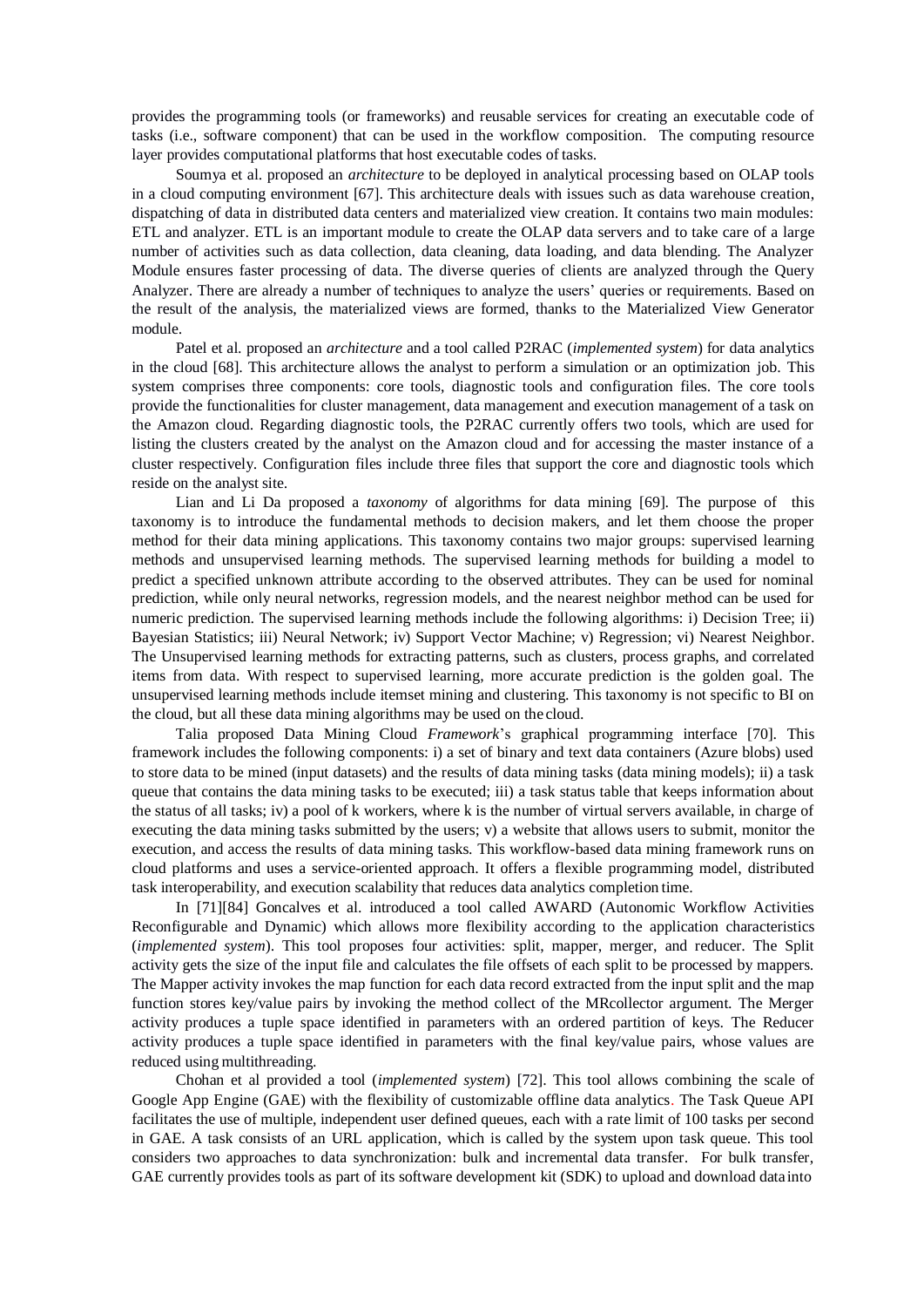provides the programming tools (or frameworks) and reusable services for creating an executable code of tasks (i.e., software component) that can be used in the workflow composition. The computing resource layer provides computational platforms that host executable codes of tasks.

Soumya et al. proposed an *architecture* to be deployed in analytical processing based on OLAP tools in a cloud computing environment [67]. This architecture deals with issues such as data warehouse creation, dispatching of data in distributed data centers and materialized view creation. It contains two main modules: ETL and analyzer. ETL is an important module to create the OLAP data servers and to take care of a large number of activities such as data collection, data cleaning, data loading, and data blending. The Analyzer Module ensures faster processing of data. The diverse queries of clients are analyzed through the Query Analyzer. There are already a number of techniques to analyze the users' queries or requirements. Based on the result of the analysis, the materialized views are formed, thanks to the Materialized View Generator module.

Patel et al. proposed an *architecture* and a tool called P2RAC (*implemented system*) for data analytics in the cloud [68]. This architecture allows the analyst to perform a simulation or an optimization job. This system comprises three components: core tools, diagnostic tools and configuration files. The core tools provide the functionalities for cluster management, data management and execution management of a task on the Amazon cloud. Regarding diagnostic tools, the P2RAC currently offers two tools, which are used for listing the clusters created by the analyst on the Amazon cloud and for accessing the master instance of a cluster respectively. Configuration files include three files that support the core and diagnostic tools which reside on the analyst site.

Lian and Li Da proposed a *taxonomy* of algorithms for data mining [69]. The purpose of this taxonomy is to introduce the fundamental methods to decision makers, and let them choose the proper method for their data mining applications. This taxonomy contains two major groups: supervised learning methods and unsupervised learning methods. The supervised learning methods for building a model to predict a specified unknown attribute according to the observed attributes. They can be used for nominal prediction, while only neural networks, regression models, and the nearest neighbor method can be used for numeric prediction. The supervised learning methods include the following algorithms: i) Decision Tree; ii) Bayesian Statistics; iii) Neural Network; iv) Support Vector Machine; v) Regression; vi) Nearest Neighbor. The Unsupervised learning methods for extracting patterns, such as clusters, process graphs, and correlated items from data. With respect to supervised learning, more accurate prediction is the golden goal. The unsupervised learning methods include itemset mining and clustering. This taxonomy is not specific to BI on the cloud, but all these data mining algorithms may be used on the cloud.

Talia proposed Data Mining Cloud *Framework*'s graphical programming interface [70]. This framework includes the following components: i) a set of binary and text data containers (Azure blobs) used to store data to be mined (input datasets) and the results of data mining tasks (data mining models); ii) a task queue that contains the data mining tasks to be executed; iii) a task status table that keeps information about the status of all tasks; iv) a pool of k workers, where k is the number of virtual servers available, in charge of executing the data mining tasks submitted by the users; v) a website that allows users to submit, monitor the execution, and access the results of data mining tasks. This workflow-based data mining framework runs on cloud platforms and uses a service-oriented approach. It offers a flexible programming model, distributed task interoperability, and execution scalability that reduces data analytics completion time.

In [71][84] Goncalves et al. introduced a tool called AWARD (Autonomic Workflow Activities Reconfigurable and Dynamic) which allows more flexibility according to the application characteristics (*implemented system*). This tool proposes four activities: split, mapper, merger, and reducer. The Split activity gets the size of the input file and calculates the file offsets of each split to be processed by mappers. The Mapper activity invokes the map function for each data record extracted from the input split and the map function stores key/value pairs by invoking the method collect of the MRcollector argument. The Merger activity produces a tuple space identified in parameters with an ordered partition of keys. The Reducer activity produces a tuple space identified in parameters with the final key/value pairs, whose values are reduced using multithreading.

Chohan et al provided a tool (*implemented system*) [72]. This tool allows combining the scale of Google App Engine (GAE) with the flexibility of customizable offline data analytics. The Task Queue API facilitates the use of multiple, independent user defined queues, each with a rate limit of 100 tasks per second in GAE. A task consists of an URL application, which is called by the system upon task queue. This tool considers two approaches to data synchronization: bulk and incremental data transfer. For bulk transfer, GAE currently provides tools as part of its software development kit (SDK) to upload and download data into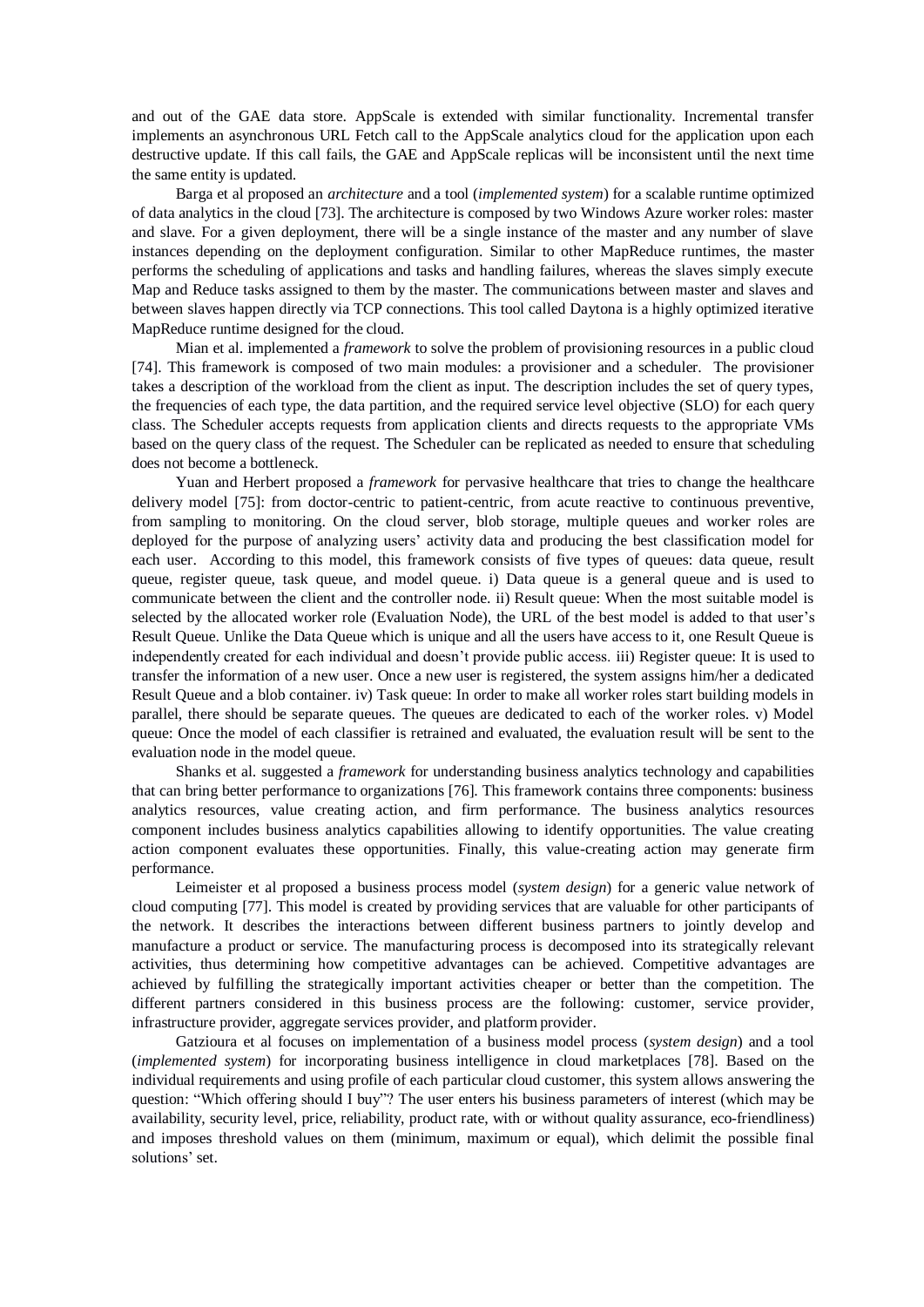and out of the GAE data store. AppScale is extended with similar functionality. Incremental transfer implements an asynchronous URL Fetch call to the AppScale analytics cloud for the application upon each destructive update. If this call fails, the GAE and AppScale replicas will be inconsistent until the next time the same entity is updated.

Barga et al proposed an *architecture* and a tool (*implemented system*) for a scalable runtime optimized of data analytics in the cloud [73]. The architecture is composed by two Windows Azure worker roles: master and slave. For a given deployment, there will be a single instance of the master and any number of slave instances depending on the deployment configuration. Similar to other MapReduce runtimes, the master performs the scheduling of applications and tasks and handling failures, whereas the slaves simply execute Map and Reduce tasks assigned to them by the master. The communications between master and slaves and between slaves happen directly via TCP connections. This tool called Daytona is a highly optimized iterative MapReduce runtime designed for the cloud.

Mian et al. implemented a *framework* to solve the problem of provisioning resources in a public cloud [74]. This framework is composed of two main modules: a provisioner and a scheduler. The provisioner takes a description of the workload from the client as input. The description includes the set of query types, the frequencies of each type, the data partition, and the required service level objective (SLO) for each query class. The Scheduler accepts requests from application clients and directs requests to the appropriate VMs based on the query class of the request. The Scheduler can be replicated as needed to ensure that scheduling does not become a bottleneck.

Yuan and Herbert proposed a *framework* for pervasive healthcare that tries to change the healthcare delivery model [75]: from doctor-centric to patient-centric, from acute reactive to continuous preventive, from sampling to monitoring. On the cloud server, blob storage, multiple queues and worker roles are deployed for the purpose of analyzing users' activity data and producing the best classification model for each user. According to this model, this framework consists of five types of queues: data queue, result queue, register queue, task queue, and model queue. i) Data queue is a general queue and is used to communicate between the client and the controller node. ii) Result queue: When the most suitable model is selected by the allocated worker role (Evaluation Node), the URL of the best model is added to that user's Result Queue. Unlike the Data Queue which is unique and all the users have access to it, one Result Queue is independently created for each individual and doesn't provide public access. iii) Register queue: It is used to transfer the information of a new user. Once a new user is registered, the system assigns him/her a dedicated Result Queue and a blob container. iv) Task queue: In order to make all worker roles start building models in parallel, there should be separate queues. The queues are dedicated to each of the worker roles. v) Model queue: Once the model of each classifier is retrained and evaluated, the evaluation result will be sent to the evaluation node in the model queue.

Shanks et al. suggested a *framework* for understanding business analytics technology and capabilities that can bring better performance to organizations [76]. This framework contains three components: business analytics resources, value creating action, and firm performance. The business analytics resources component includes business analytics capabilities allowing to identify opportunities. The value creating action component evaluates these opportunities. Finally, this value-creating action may generate firm performance.

Leimeister et al proposed a business process model (*system design*) for a generic value network of cloud computing [77]. This model is created by providing services that are valuable for other participants of the network. It describes the interactions between different business partners to jointly develop and manufacture a product or service. The manufacturing process is decomposed into its strategically relevant activities, thus determining how competitive advantages can be achieved. Competitive advantages are achieved by fulfilling the strategically important activities cheaper or better than the competition. The different partners considered in this business process are the following: customer, service provider, infrastructure provider, aggregate services provider, and platform provider.

Gatzioura et al focuses on implementation of a business model process (*system design*) and a tool (*implemented system*) for incorporating business intelligence in cloud marketplaces [78]. Based on the individual requirements and using profile of each particular cloud customer, this system allows answering the question: "Which offering should I buy"? The user enters his business parameters of interest (which may be availability, security level, price, reliability, product rate, with or without quality assurance, eco-friendliness) and imposes threshold values on them (minimum, maximum or equal), which delimit the possible final solutions' set.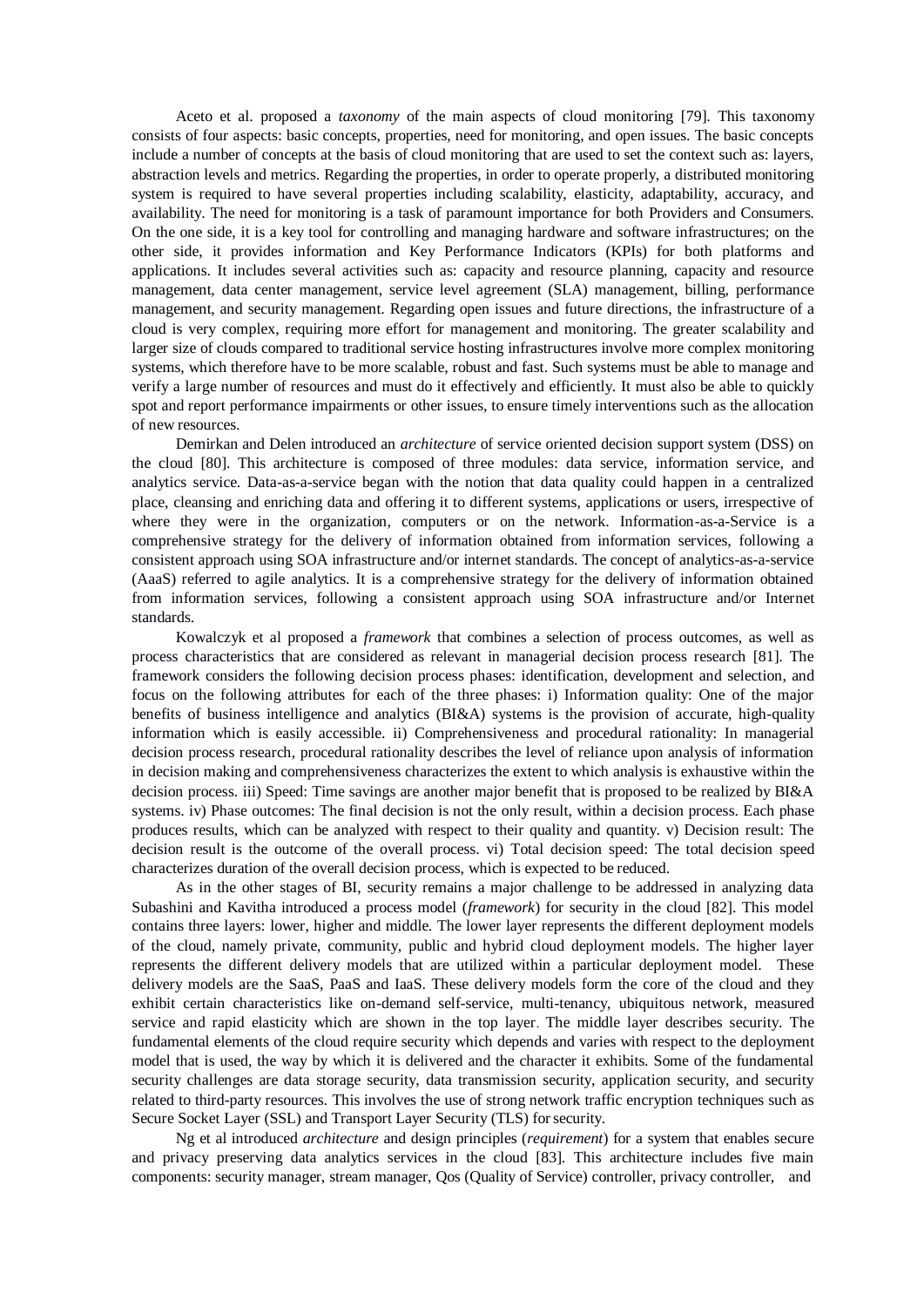Aceto et al. proposed a *taxonomy* of the main aspects of cloud monitoring [79]. This taxonomy consists of four aspects: basic concepts, properties, need for monitoring, and open issues. The basic concepts include a number of concepts at the basis of cloud monitoring that are used to set the context such as: layers, abstraction levels and metrics. Regarding the properties, in order to operate properly, a distributed monitoring system is required to have several properties including scalability, elasticity, adaptability, accuracy, and availability. The need for monitoring is a task of paramount importance for both Providers and Consumers. On the one side, it is a key tool for controlling and managing hardware and software infrastructures; on the other side, it provides information and Key Performance Indicators (KPIs) for both platforms and applications. It includes several activities such as: capacity and resource planning, capacity and resource management, data center management, service level agreement (SLA) management, billing, performance management, and security management. Regarding open issues and future directions, the infrastructure of a cloud is very complex, requiring more effort for management and monitoring. The greater scalability and larger size of clouds compared to traditional service hosting infrastructures involve more complex monitoring systems, which therefore have to be more scalable, robust and fast. Such systems must be able to manage and verify a large number of resources and must do it effectively and efficiently. It must also be able to quickly spot and report performance impairments or other issues, to ensure timely interventions such as the allocation of new resources.

Demirkan and Delen introduced an *architecture* of service oriented decision support system (DSS) on the cloud [80]. This architecture is composed of three modules: data service, information service, and analytics service. Data-as-a-service began with the notion that data quality could happen in a centralized place, cleansing and enriching data and offering it to different systems, applications or users, irrespective of where they were in the organization, computers or on the network. Information-as-a-Service is a comprehensive strategy for the delivery of information obtained from information services, following a consistent approach using SOA infrastructure and/or internet standards. The concept of analytics-as-a-service (AaaS) referred to agile analytics. It is a comprehensive strategy for the delivery of information obtained from information services, following a consistent approach using SOA infrastructure and/or Internet standards.

Kowalczyk et al proposed a *framework* that combines a selection of process outcomes, as well as process characteristics that are considered as relevant in managerial decision process research [81]. The framework considers the following decision process phases: identification, development and selection, and focus on the following attributes for each of the three phases: i) Information quality: One of the major benefits of business intelligence and analytics (BI&A) systems is the provision of accurate, high-quality information which is easily accessible. ii) Comprehensiveness and procedural rationality: In managerial decision process research, procedural rationality describes the level of reliance upon analysis of information in decision making and comprehensiveness characterizes the extent to which analysis is exhaustive within the decision process. iii) Speed: Time savings are another major benefit that is proposed to be realized by BI&A systems. iv) Phase outcomes: The final decision is not the only result, within a decision process. Each phase produces results, which can be analyzed with respect to their quality and quantity. v) Decision result: The decision result is the outcome of the overall process. vi) Total decision speed: The total decision speed characterizes duration of the overall decision process, which is expected to be reduced.

As in the other stages of BI, security remains a major challenge to be addressed in analyzing data Subashini and Kavitha introduced a process model (*framework*) for security in the cloud [82]. This model contains three layers: lower, higher and middle. The lower layer represents the different deployment models of the cloud, namely private, community, public and hybrid cloud deployment models. The higher layer represents the different delivery models that are utilized within a particular deployment model. These delivery models are the SaaS, PaaS and IaaS. These delivery models form the core of the cloud and they exhibit certain characteristics like on-demand self-service, multi-tenancy, ubiquitous network, measured service and rapid elasticity which are shown in the top layer. The middle layer describes security. The fundamental elements of the cloud require security which depends and varies with respect to the deployment model that is used, the way by which it is delivered and the character it exhibits. Some of the fundamental security challenges are data storage security, data transmission security, application security, and security related to third-party resources. This involves the use of strong network traffic encryption techniques such as Secure Socket Layer (SSL) and Transport Layer Security (TLS) for security.

Ng et al introduced *architecture* and design principles (*requirement*) for a system that enables secure and privacy preserving data analytics services in the cloud [83]. This architecture includes five main components: security manager, stream manager, Qos (Quality of Service) controller, privacy controller, and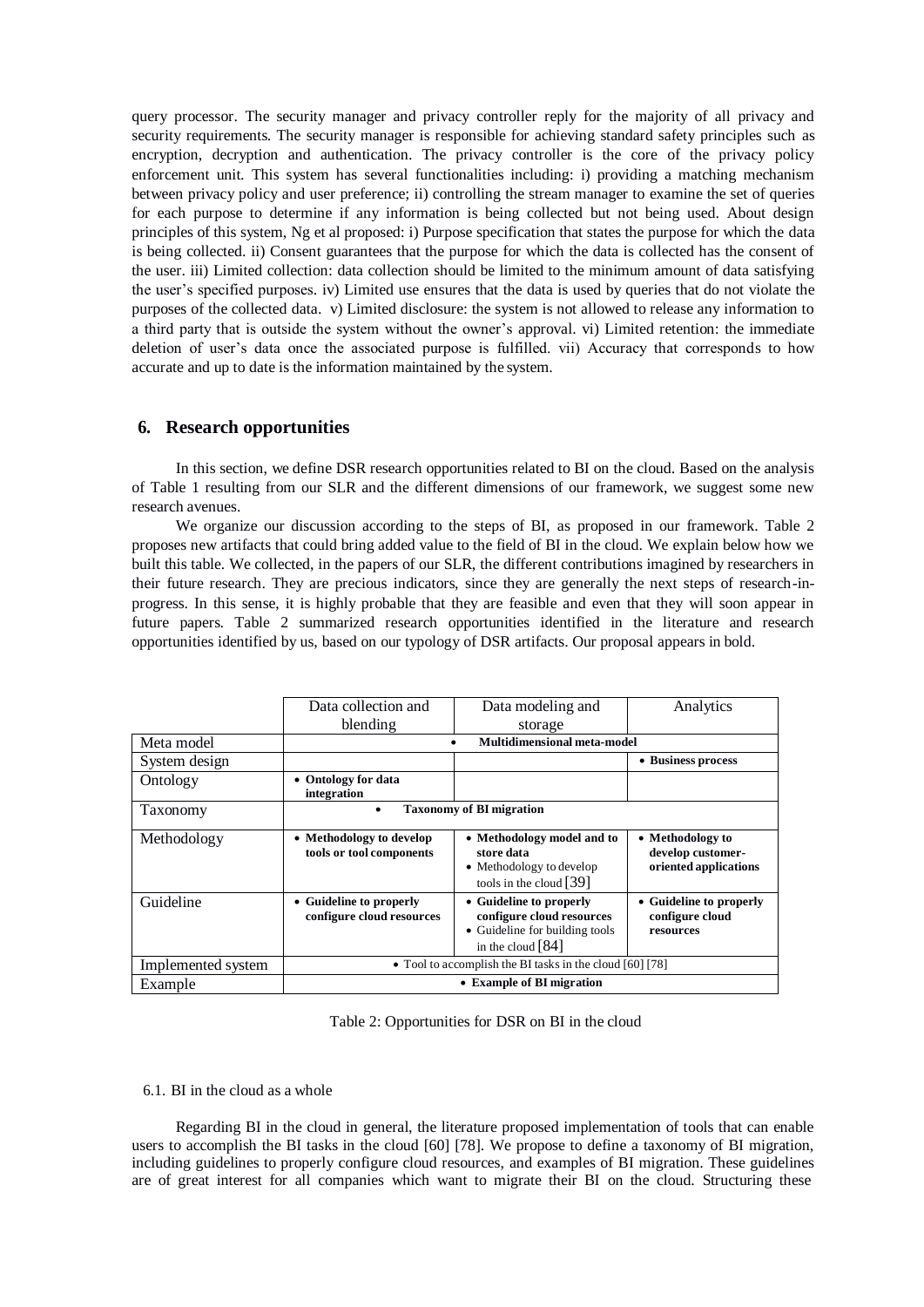query processor. The security manager and privacy controller reply for the majority of all privacy and security requirements. The security manager is responsible for achieving standard safety principles such as encryption, decryption and authentication. The privacy controller is the core of the privacy policy enforcement unit. This system has several functionalities including: i) providing a matching mechanism between privacy policy and user preference; ii) controlling the stream manager to examine the set of queries for each purpose to determine if any information is being collected but not being used. About design principles of this system, Ng et al proposed: i) Purpose specification that states the purpose for which the data is being collected. ii) Consent guarantees that the purpose for which the data is collected has the consent of the user. iii) Limited collection: data collection should be limited to the minimum amount of data satisfying the user's specified purposes. iv) Limited use ensures that the data is used by queries that do not violate the purposes of the collected data. v) Limited disclosure: the system is not allowed to release any information to a third party that is outside the system without the owner's approval. vi) Limited retention: the immediate deletion of user's data once the associated purpose is fulfilled. vii) Accuracy that corresponds to how accurate and up to date is the information maintained by the system.

### **6. Research opportunities**

In this section, we define DSR research opportunities related to BI on the cloud. Based on the analysis of Table 1 resulting from our SLR and the different dimensions of our framework, we suggest some new research avenues.

We organize our discussion according to the steps of BI, as proposed in our framework. Table 2 proposes new artifacts that could bring added value to the field of BI in the cloud. We explain below how we built this table. We collected, in the papers of our SLR, the different contributions imagined by researchers in their future research. They are precious indicators, since they are generally the next steps of research-inprogress. In this sense, it is highly probable that they are feasible and even that they will soon appear in future papers. Table 2 summarized research opportunities identified in the literature and research opportunities identified by us, based on our typology of DSR artifacts. Our proposal appears in bold.

|                    | Data collection and<br>blending                          | Data modeling and<br>storage                                                                                  | Analytics                                                      |  |
|--------------------|----------------------------------------------------------|---------------------------------------------------------------------------------------------------------------|----------------------------------------------------------------|--|
| Meta model         | Multidimensional meta-model                              |                                                                                                               |                                                                |  |
| System design      |                                                          |                                                                                                               | • Business process                                             |  |
| Ontology           | <b>Ontology</b> for data<br>integration                  |                                                                                                               |                                                                |  |
| Taxonomy           | <b>Taxonomy of BI migration</b><br>$\bullet$             |                                                                                                               |                                                                |  |
| Methodology        | • Methodology to develop<br>tools or tool components     | • Methodology model and to<br>store data<br>• Methodology to develop<br>tools in the cloud $[39]$             | • Methodology to<br>develop customer-<br>oriented applications |  |
| Guideline          | • Guideline to properly<br>configure cloud resources     | • Guideline to properly<br>configure cloud resources<br>• Guideline for building tools<br>in the cloud $[84]$ | • Guideline to properly<br>configure cloud<br>resources        |  |
| Implemented system | • Tool to accomplish the BI tasks in the cloud [60] [78] |                                                                                                               |                                                                |  |
| Example            | • Example of BI migration                                |                                                                                                               |                                                                |  |

|  |  | Table 2: Opportunities for DSR on BI in the cloud |  |  |  |  |  |  |
|--|--|---------------------------------------------------|--|--|--|--|--|--|
|--|--|---------------------------------------------------|--|--|--|--|--|--|

### 6.1. BI in the cloud as a whole

Regarding BI in the cloud in general, the literature proposed implementation of tools that can enable users to accomplish the BI tasks in the cloud [60] [78]. We propose to define a taxonomy of BI migration, including guidelines to properly configure cloud resources, and examples of BI migration. These guidelines are of great interest for all companies which want to migrate their BI on the cloud. Structuring these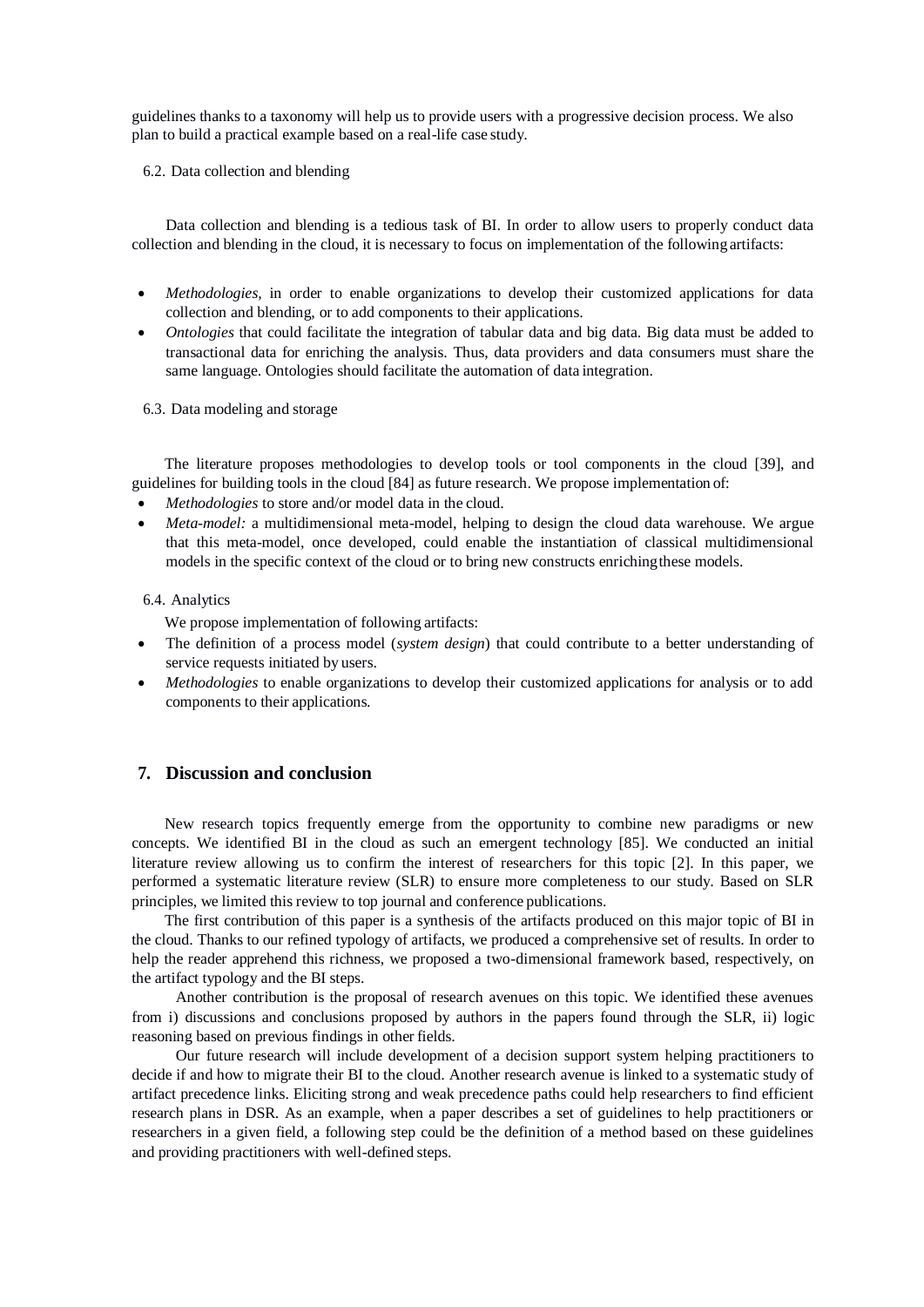guidelines thanks to a taxonomy will help us to provide users with a progressive decision process. We also plan to build a practical example based on a real-life case study.

6.2. Data collection and blending

Data collection and blending is a tedious task of BI. In order to allow users to properly conduct data collection and blending in the cloud, it is necessary to focus on implementation of the following artifacts:

- *Methodologies,* in order to enable organizations to develop their customized applications for data collection and blending, or to add components to their applications.
- *Ontologies* that could facilitate the integration of tabular data and big data. Big data must be added to transactional data for enriching the analysis. Thus, data providers and data consumers must share the same language. Ontologies should facilitate the automation of data integration.
- 6.3. Data modeling and storage

The literature proposes methodologies to develop tools or tool components in the cloud [39], and guidelines for building tools in the cloud [84] as future research. We propose implementation of:

- *Methodologies* to store and/or model data in the cloud.
- *Meta-model:* a multidimensional meta-model, helping to design the cloud data warehouse. We argue that this meta-model, once developed, could enable the instantiation of classical multidimensional models in the specific context of the cloud or to bring new constructs enrichingthese models.

### 6.4. Analytics

We propose implementation of following artifacts:

- The definition of a process model (*system design*) that could contribute to a better understanding of service requests initiated by users.
- *Methodologies* to enable organizations to develop their customized applications for analysis or to add components to their applications.

# **7. Discussion and conclusion**

New research topics frequently emerge from the opportunity to combine new paradigms or new concepts. We identified BI in the cloud as such an emergent technology [85]. We conducted an initial literature review allowing us to confirm the interest of researchers for this topic [2]. In this paper, we performed a systematic literature review (SLR) to ensure more completeness to our study. Based on SLR principles, we limited this review to top journal and conference publications.

The first contribution of this paper is a synthesis of the artifacts produced on this major topic of BI in the cloud. Thanks to our refined typology of artifacts, we produced a comprehensive set of results. In order to help the reader apprehend this richness, we proposed a two-dimensional framework based, respectively, on the artifact typology and the BI steps.

Another contribution is the proposal of research avenues on this topic. We identified these avenues from i) discussions and conclusions proposed by authors in the papers found through the SLR, ii) logic reasoning based on previous findings in other fields.

Our future research will include development of a decision support system helping practitioners to decide if and how to migrate their BI to the cloud. Another research avenue is linked to a systematic study of artifact precedence links. Eliciting strong and weak precedence paths could help researchers to find efficient research plans in DSR. As an example, when a paper describes a set of guidelines to help practitioners or researchers in a given field, a following step could be the definition of a method based on these guidelines and providing practitioners with well-defined steps.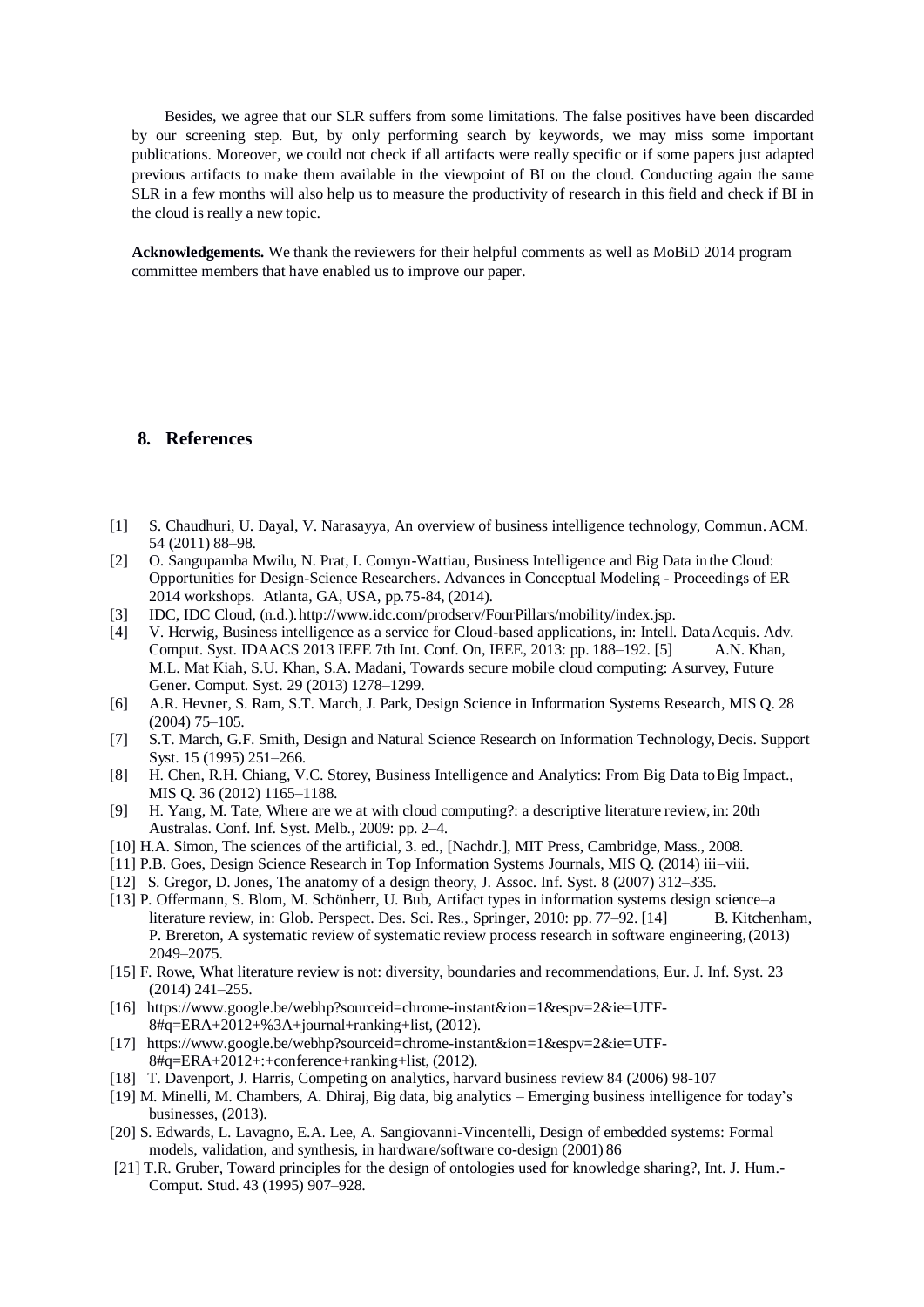Besides, we agree that our SLR suffers from some limitations. The false positives have been discarded by our screening step. But, by only performing search by keywords, we may miss some important publications. Moreover, we could not check if all artifacts were really specific or if some papers just adapted previous artifacts to make them available in the viewpoint of BI on the cloud. Conducting again the same SLR in a few months will also help us to measure the productivity of research in this field and check if BI in the cloud is really a new topic.

**Acknowledgements.** We thank the reviewers for their helpful comments as well as MoBiD 2014 program committee members that have enabled us to improve our paper.

## **8. References**

- [1] S. Chaudhuri, U. Dayal, V. Narasayya, An overview of business intelligence technology, Commun.ACM. 54 (2011) 88–98.
- [2] O. Sangupamba Mwilu, N. Prat, I. Comyn-Wattiau, Business Intelligence and Big Data in the Cloud: Opportunities for Design-Science Researchers. Advances in Conceptual Modeling - Proceedings of ER 2014 workshops. Atlanta, GA, USA, pp.75-84, (2014).
- [3] IDC, IDC Cloud, (n.d.)[.http://www.idc.com/prodserv/FourPillars/mobility/index.jsp.](http://www.idc.com/prodserv/FourPillars/mobility/index.jsp)
- [4] V. Herwig, Business intelligence as a service for Cloud-based applications, in: Intell. Data Acquis. Adv. Comput. Syst. IDAACS 2013 IEEE 7th Int. Conf. On, IEEE, 2013: pp. 188–192. [5] A.N. Khan, M.L. Mat Kiah, S.U. Khan, S.A. Madani, Towards secure mobile cloud computing: Asurvey, Future Gener. Comput. Syst. 29 (2013) 1278–1299.
- [6] A.R. Hevner, S. Ram, S.T. March, J. Park, Design Science in Information Systems Research, MIS Q. 28 (2004) 75–105.
- [7] S.T. March, G.F. Smith, Design and Natural Science Research on Information Technology, Decis. Support Syst. 15 (1995) 251–266.
- [8] H. Chen, R.H. Chiang, V.C. Storey, Business Intelligence and Analytics: From Big Data to Big Impact., MIS Q. 36 (2012) 1165–1188.
- [9] H. Yang, M. Tate, Where are we at with cloud computing?: a descriptive literature review, in: 20th Australas. Conf. Inf. Syst. Melb., 2009: pp. 2–4.
- [10] H.A. Simon, The sciences of the artificial, 3. ed., [Nachdr.], MIT Press, Cambridge, Mass., 2008.
- [11] P.B. Goes, Design Science Research in Top Information Systems Journals, MIS Q. (2014) iii–viii.
- [12] S. Gregor, D. Jones, The anatomy of a design theory, J. Assoc. Inf. Syst. 8 (2007) 312–335.
- [13] P. Offermann, S. Blom, M. Schönherr, U. Bub, Artifact types in information systems design science–a literature review, in: Glob. Perspect. Des. Sci. Res., Springer, 2010: pp. 77–92. [14] B. Kitchenham, P. Brereton, A systematic review of systematic review process research in software engineering,(2013) 2049–2075.
- [15] F. Rowe, What literature review is not: diversity, boundaries and recommendations, Eur. J. Inf. Syst. 23 (2014) 241–255.
- [16] https:/[/www.google.be/webhp?sourceid=chrome-instant&ion=1&espv=2&ie=UTF-](http://www.google.be/webhp?sourceid=chrome-instant&ion=1&espv=2&ie=UTF-)8#q=ERA+2012+%3A+journal+ranking+list, (2012).
- [17] https:/[/www.google.be/webhp?sourceid=chrome-instant&ion=1&espv=2&ie=UTF-](http://www.google.be/webhp?sourceid=chrome-instant&ion=1&espv=2&ie=UTF-)8#q=ERA+2012+:+conference+ranking+list, (2012).
- [18] T. Davenport, J. Harris, Competing on analytics, harvard business review 84 (2006) 98-107
- [19] M. Minelli, M. Chambers, A. Dhiraj, Big data, big analytics Emerging business intelligence for today's businesses, (2013).
- [20] S. Edwards, L. Lavagno, E.A. Lee, A. Sangiovanni-Vincentelli, Design of embedded systems: Formal models, validation, and synthesis, in hardware/software co-design (2001) 86
- [21] T.R. Gruber, Toward principles for the design of ontologies used for knowledge sharing?, Int. J. Hum.- Comput. Stud. 43 (1995) 907–928.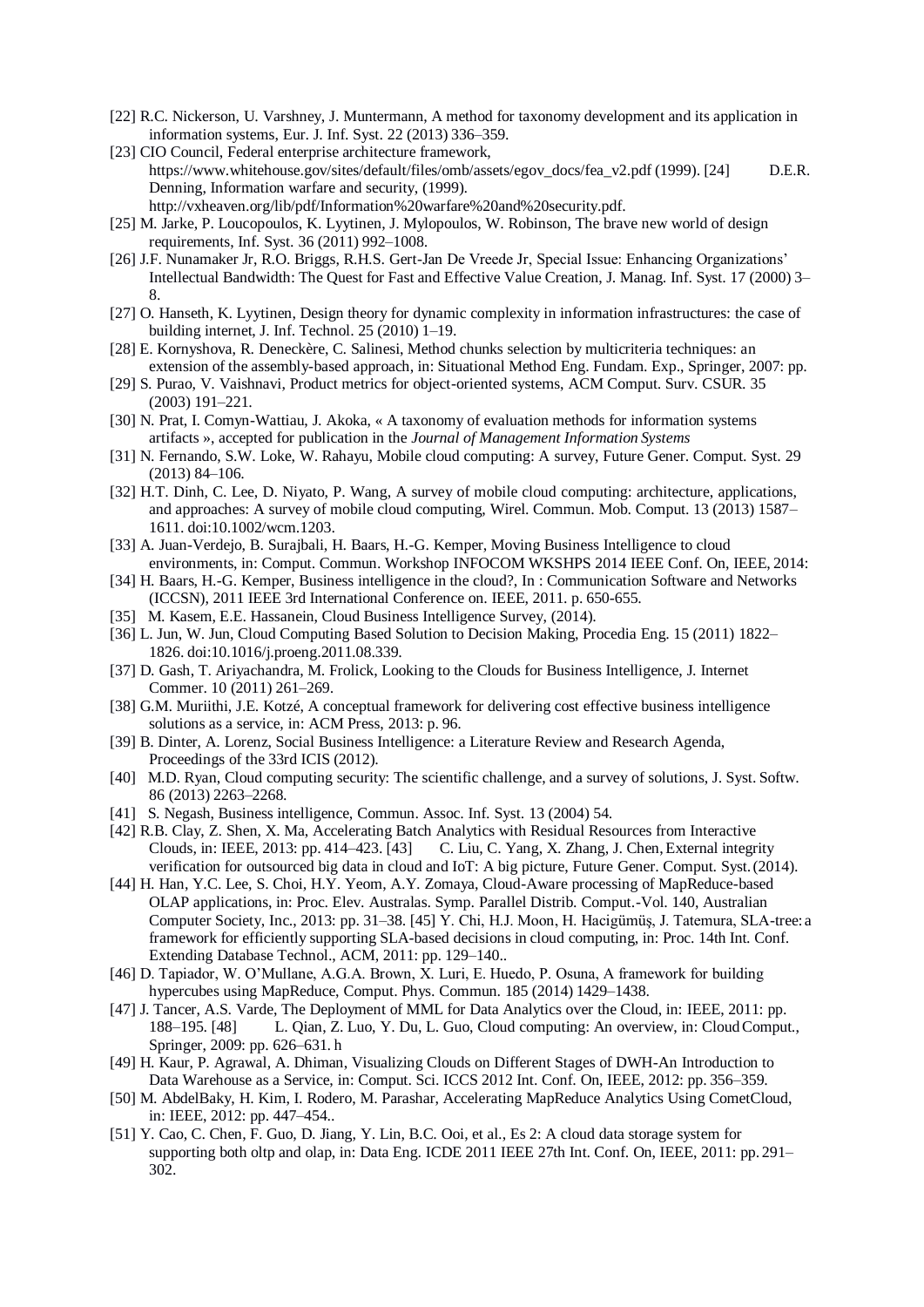- [22] R.C. Nickerson, U. Varshney, J. Muntermann, A method for taxonomy development and its application in information systems, Eur. J. Inf. Syst. 22 (2013) 336–359.
- [23] CIO Council, Federal enterprise architecture framework, https:/[/www.whitehouse.gov/sites/default/files/omb/assets/egov\\_docs/fea\\_v2.pdf](http://www.whitehouse.gov/sites/default/files/omb/assets/egov_docs/fea_v2.pdf) (1999). [24] D.E.R. Denning, Information warfare and security, (1999). [http://vxheaven.org/lib/pdf/Information%20warfare%20and%20security.pdf.](http://vxheaven.org/lib/pdf/Information%20warfare%20and%20security.pdf)
- [25] M. Jarke, P. Loucopoulos, K. Lyytinen, J. Mylopoulos, W. Robinson, The brave new world of design requirements, Inf. Syst. 36 (2011) 992–1008.
- [26] J.F. Nunamaker Jr, R.O. Briggs, R.H.S. Gert-Jan De Vreede Jr, Special Issue: Enhancing Organizations' Intellectual Bandwidth: The Quest for Fast and Effective Value Creation, J. Manag. Inf. Syst. 17 (2000) 3– 8.
- [27] O. Hanseth, K. Lyytinen, Design theory for dynamic complexity in information infrastructures: the case of building internet, J. Inf. Technol. 25 (2010) 1–19.
- [28] E. Kornyshova, R. Deneckère, C. Salinesi, Method chunks selection by multicriteria techniques: an extension of the assembly-based approach, in: Situational Method Eng. Fundam. Exp., Springer, 2007: pp.
- [29] S. Purao, V. Vaishnavi, Product metrics for object-oriented systems, ACM Comput. Surv. CSUR. 35 (2003) 191–221.
- [30] N. Prat, I. Comyn-Wattiau, J. Akoka, « A taxonomy of evaluation methods for information systems artifacts », accepted for publication in the *Journal of Management Information Systems*
- [31] N. Fernando, S.W. Loke, W. Rahayu, Mobile cloud computing: A survey, Future Gener. Comput. Syst. 29 (2013) 84–106.
- [32] H.T. Dinh, C. Lee, D. Niyato, P. Wang, A survey of mobile cloud computing: architecture, applications, and approaches: A survey of mobile cloud computing, Wirel. Commun. Mob. Comput. 13 (2013) 1587– 1611. doi:10.1002/wcm.1203.
- [33] A. Juan-Verdejo, B. Surajbali, H. Baars, H.-G. Kemper, Moving Business Intelligence to cloud environments, in: Comput. Commun. Workshop INFOCOM WKSHPS 2014 IEEE Conf. On, IEEE, 2014:
- [34] H. Baars, H.-G. Kemper, Business intelligence in the cloud?, In : Communication Software and Networks (ICCSN), 2011 IEEE 3rd International Conference on. IEEE, 2011. p. 650-655.
- [35] M. Kasem, E.E. Hassanein, Cloud Business Intelligence Survey, (2014).
- [36] L. Jun, W. Jun, Cloud Computing Based Solution to Decision Making, Procedia Eng. 15 (2011) 1822– 1826. doi:10.1016/j.proeng.2011.08.339.
- [37] D. Gash, T. Ariyachandra, M. Frolick, Looking to the Clouds for Business Intelligence, J. Internet Commer. 10 (2011) 261–269.
- [38] G.M. Muriithi, J.E. Kotzé, A conceptual framework for delivering cost effective business intelligence solutions as a service, in: ACM Press, 2013: p. 96.
- [39] B. Dinter, A. Lorenz, Social Business Intelligence: a Literature Review and Research Agenda, Proceedings of the 33rd ICIS (2012).
- [40] M.D. Ryan, Cloud computing security: The scientific challenge, and a survey of solutions, J. Syst. Softw. 86 (2013) 2263–2268.
- [41] S. Negash, Business intelligence, Commun. Assoc. Inf. Syst. 13 (2004) 54.
- [42] R.B. Clay, Z. Shen, X. Ma, Accelerating Batch Analytics with Residual Resources from Interactive Clouds, in: IEEE, 2013: pp. 414–423. [43] C. Liu, C. Yang, X. Zhang, J. Chen,External integrity verification for outsourced big data in cloud and IoT: A big picture, Future Gener. Comput. Syst.(2014).
- [44] H. Han, Y.C. Lee, S. Choi, H.Y. Yeom, A.Y. Zomaya, Cloud-Aware processing of MapReduce-based OLAP applications, in: Proc. Elev. Australas. Symp. Parallel Distrib. Comput.-Vol. 140, Australian Computer Society, Inc., 2013: pp. 31–38. [45] Y. Chi, H.J. Moon, H. Hacigümüş, J. Tatemura, SLA-tree: a framework for efficiently supporting SLA-based decisions in cloud computing, in: Proc. 14th Int. Conf. Extending Database Technol., ACM, 2011: pp. 129–140..
- [46] D. Tapiador, W. O'Mullane, A.G.A. Brown, X. Luri, E. Huedo, P. Osuna, A framework for building hypercubes using MapReduce, Comput. Phys. Commun. 185 (2014) 1429–1438.
- [47] J. Tancer, A.S. Varde, The Deployment of MML for Data Analytics over the Cloud, in: IEEE, 2011: pp. 188–195. [48] L. Qian, Z. Luo, Y. Du, L. Guo, Cloud computing: An overview, in: CloudComput., Springer, 2009: pp. 626–631. h
- [49] H. Kaur, P. Agrawal, A. Dhiman, Visualizing Clouds on Different Stages of DWH-An Introduction to Data Warehouse as a Service, in: Comput. Sci. ICCS 2012 Int. Conf. On, IEEE, 2012: pp. 356–359.
- [50] M. AbdelBaky, H. Kim, I. Rodero, M. Parashar, Accelerating MapReduce Analytics Using CometCloud, in: IEEE, 2012: pp. 447–454..
- [51] Y. Cao, C. Chen, F. Guo, D. Jiang, Y. Lin, B.C. Ooi, et al., Es 2: A cloud data storage system for supporting both oltp and olap, in: Data Eng. ICDE 2011 IEEE 27th Int. Conf. On, IEEE, 2011: pp. 291– 302.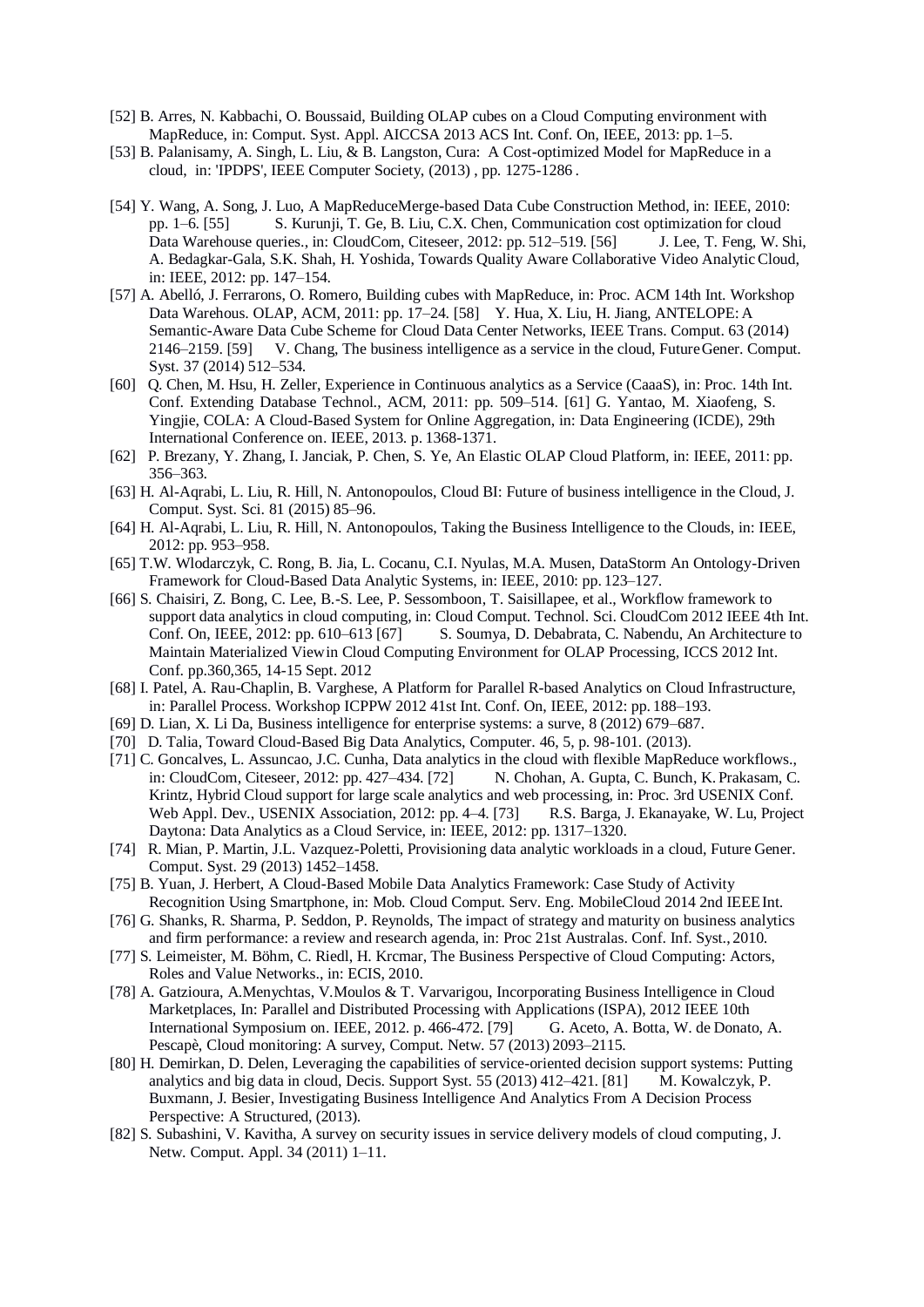- [52] B. Arres, N. Kabbachi, O. Boussaid, Building OLAP cubes on a Cloud Computing environment with MapReduce, in: Comput. Syst. Appl. AICCSA 2013 ACS Int. Conf. On, IEEE, 2013: pp. 1–5.
- [53] B. Palanisamy, A. Singh, L. Liu, & B. Langston, Cura: A Cost-optimized Model for MapReduce in a cloud, in: 'IPDPS', IEEE Computer Society, (2013) , pp. 1275-1286 .
- [54] Y. Wang, A. Song, J. Luo, A MapReduceMerge-based Data Cube Construction Method, in: IEEE, 2010: pp. 1–6. [55] S. Kurunji, T. Ge, B. Liu, C.X. Chen, Communication cost optimization for cloud Data Warehouse queries., in: CloudCom, Citeseer, 2012: pp. 512–519. [56] J. Lee, T. Feng, W. Shi, A. Bedagkar-Gala, S.K. Shah, H. Yoshida, Towards Quality Aware Collaborative Video AnalyticCloud, in: IEEE, 2012: pp. 147–154.
- [57] A. Abelló, J. Ferrarons, O. Romero, Building cubes with MapReduce, in: Proc. ACM 14th Int. Workshop Data Warehous. OLAP, ACM, 2011: pp. 17-24. [58] Y. Hua, X. Liu, H. Jiang, ANTELOPE: A Semantic-Aware Data Cube Scheme for Cloud Data Center Networks, IEEE Trans. Comput. 63 (2014) 2146–2159. [59] V. Chang, The business intelligence as a service in the cloud, FutureGener. Comput. Syst. 37 (2014) 512–534.
- [60] Q. Chen, M. Hsu, H. Zeller, Experience in Continuous analytics as a Service (CaaaS), in: Proc. 14th Int. Conf. Extending Database Technol., ACM, 2011: pp. 509–514. [61] G. Yantao, M. Xiaofeng, S. Yingjie, COLA: A Cloud-Based System for Online Aggregation, in: Data Engineering (ICDE), 29th International Conference on. IEEE, 2013. p. 1368-1371.
- [62] P. Brezany, Y. Zhang, I. Janciak, P. Chen, S. Ye, An Elastic OLAP Cloud Platform, in: IEEE, 2011: pp. 356–363.
- [63] H. Al-Aqrabi, L. Liu, R. Hill, N. Antonopoulos, Cloud BI: Future of business intelligence in the Cloud, J. Comput. Syst. Sci. 81 (2015) 85–96.
- [64] H. Al-Aqrabi, L. Liu, R. Hill, N. Antonopoulos, Taking the Business Intelligence to the Clouds, in: IEEE, 2012: pp. 953–958.
- [65] T.W. Wlodarczyk, C. Rong, B. Jia, L. Cocanu, C.I. Nyulas, M.A. Musen, DataStorm An Ontology-Driven Framework for Cloud-Based Data Analytic Systems, in: IEEE, 2010: pp. 123–127.
- [66] S. Chaisiri, Z. Bong, C. Lee, B.-S. Lee, P. Sessomboon, T. Saisillapee, et al., Workflow framework to support data analytics in cloud computing, in: Cloud Comput. Technol. Sci. CloudCom 2012 IEEE 4th Int. Conf. On, IEEE, 2012: pp. 610–613 [67] S. Soumya, D. Debabrata, C. Nabendu, An Architecture to Maintain Materialized Viewin Cloud Computing Environment for OLAP Processing, ICCS 2012 Int. Conf. pp.360,365, 14-15 Sept. 2012
- [68] I. Patel, A. Rau-Chaplin, B. Varghese, A Platform for Parallel R-based Analytics on Cloud Infrastructure, in: Parallel Process. Workshop ICPPW 2012 41st Int. Conf. On, IEEE, 2012: pp. 188–193.
- [69] D. Lian, X. Li Da, Business intelligence for enterprise systems: a surve, 8 (2012) 679–687.
- [70] D. Talia, Toward Cloud-Based Big Data Analytics, Computer. 46, 5, p. 98-101. (2013).
- [71] C. Goncalves, L. Assuncao, J.C. Cunha, Data analytics in the cloud with flexible MapReduce workflows., in: CloudCom, Citeseer, 2012: pp. 427–434. [72] N. Chohan, A. Gupta, C. Bunch, K. Prakasam, C. Krintz, Hybrid Cloud support for large scale analytics and web processing, in: Proc. 3rd USENIX Conf. Web Appl. Dev., USENIX Association, 2012: pp. 4–4. [73] R.S. Barga, J. Ekanayake, W. Lu, Project Daytona: Data Analytics as a Cloud Service, in: IEEE, 2012: pp. 1317–1320.
- [74] R. Mian, P. Martin, J.L. Vazquez-Poletti, Provisioning data analytic workloads in a cloud, Future Gener. Comput. Syst. 29 (2013) 1452–1458.
- [75] B. Yuan, J. Herbert, A Cloud-Based Mobile Data Analytics Framework: Case Study of Activity Recognition Using Smartphone, in: Mob. Cloud Comput. Serv. Eng. MobileCloud 2014 2nd IEEEInt.
- [76] G. Shanks, R. Sharma, P. Seddon, P. Reynolds, The impact of strategy and maturity on business analytics and firm performance: a review and research agenda, in: Proc 21st Australas. Conf. Inf. Syst., 2010.
- [77] S. Leimeister, M. Böhm, C. Riedl, H. Krcmar, The Business Perspective of Cloud Computing: Actors, Roles and Value Networks., in: ECIS, 2010.
- [78] A. Gatzioura, A.Menychtas, V.Moulos & T. Varvarigou, Incorporating Business Intelligence in Cloud Marketplaces, In: Parallel and Distributed Processing with Applications (ISPA), 2012 IEEE 10th International Symposium on. IEEE, 2012. p. 466-472. [79] G. Aceto, A. Botta, W. de Donato, A. Pescapè, Cloud monitoring: A survey, Comput. Netw. 57 (2013) 2093–2115.
- [80] H. Demirkan, D. Delen, Leveraging the capabilities of service-oriented decision support systems: Putting analytics and big data in cloud, Decis. Support Syst. 55 (2013) 412–421. [81] M. Kowalczyk, P. Buxmann, J. Besier, Investigating Business Intelligence And Analytics From A Decision Process Perspective: A Structured, (2013).
- [82] S. Subashini, V. Kavitha, A survey on security issues in service delivery models of cloud computing, J. Netw. Comput. Appl. 34 (2011) 1–11.